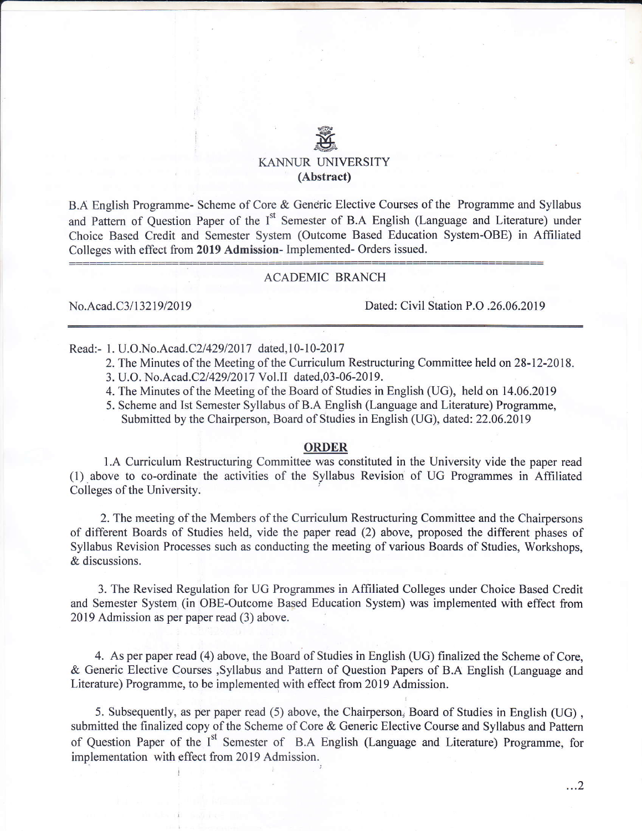# e<br>E KANNUR UNIVERSITY (Abstract)

B.A English Programme- Scheme of Core & Generic Elective Courses of the Programme and Syllabus and Pattern of Question Paper of the I<sup>st</sup> Semester of B.A English (Language and Literature) under Choice Based Credit and Semester System (Outcome Based Education System-OBE) in Affiliated Colleges with effect from 2019 Admission- Implemented- Orders issued.

### ACADEMIC BRANCH

No.Acad.C3/13219/2019 Dated: Civil Station P.O .26.06.2019

Read:- 1. U.O.No.Acad.C2/429/2017 dated, 10-10-2017

- 2. The Minutes of the Meeting of the Curriculum Restructuring Committee held on 28-12-2018.
- 3. U.O. No.Acad.C2/429/2017 Vol.II dated,03-06-2019.
- 4. The Minutes of the Meeting of the Board of Studies in English (UG), held on 14.06.2019
- 5. Scheme and Ist Semester Syllabus of B.A English (Language and Literature) Programme, Submitted by the Chairperson, Board of Studies in English (UG), dated: 22.06.2019

#### ORDER

1.A Curriculum Restructuring Committee was constituted in the University vide the paper read (1) above to co-ordinate the activities of the Syllabus Revision of UG Programmes in Affiliated Colleges of the University

2. The meeting of the Members of the Curriculum Restructuring Committee and the Chairpersons of different Boards of Studies held, vide the paper read (2) above, proposed the different phases of Syllabus Revision Processes such as conducting the meeting of various Boards of Studies, Workshops, & discussions.

3. The Revised Regulation for UG Programmes in Affiliated Colleges under Choice Based Credit and Semester System (in OBE-Outcome Based Education System) was implemented with effect from 2019 Admission as per paper read (3) above.

4. As per paper read (4) above, the Board of Studies in Engtish (UG) finalized the Scheme of Core, & Generic Elective Courses ,Syllabus and Pattern of Question Papers of B.A English (Language and Literature) Programme, to be implemented with effect from 2019 Admission.

5. Subsequently, as per paper read (5) above, the Chairperson, Board of Studies in English (UG) , submitted the finalized copy of the Scheme of Core & Generic Elective Course and Syllabus and Pattern of Question Paper of the I<sup>st</sup> Semester of B.A English (Language and Literature) Programme, for implementation with effect from 2019 Admission.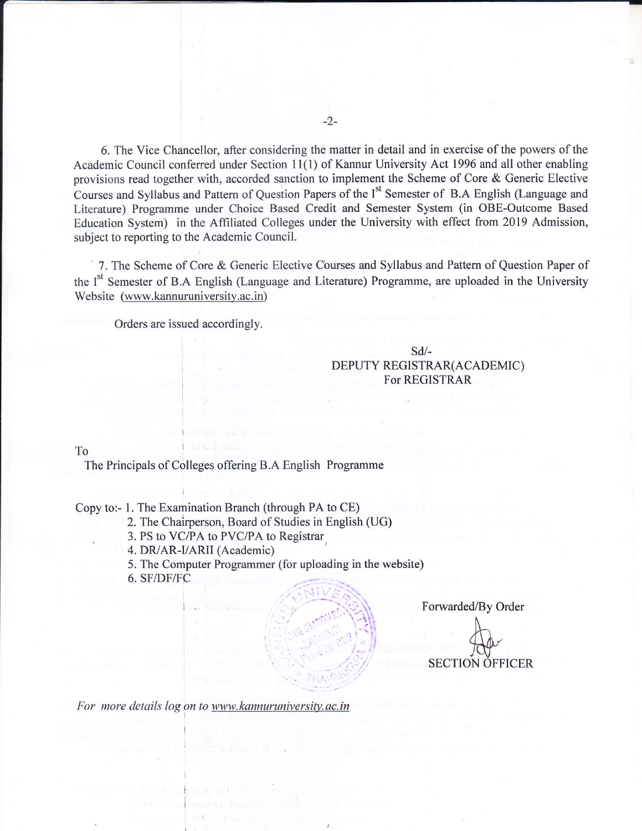6. The Vice Chancellor, after considering the matter in detail and in exercise of the powers of the Academic Council conferred under Section 11(1) of Kannur University Act 1996 and all other enabling provisions read together with, accorded sanction to implement the Scheme of Core & Generic Elective Courses and Syllabus and Pattern of Question Papers of the I<sup>st</sup> Semester of B.A English (Language and Literature) Programme under Choice Based Credit and Semester System (in OBE-Outcome Based Education System) in the Affitiated Colleges under the University with effect from 2019 Admission, subject to reporting to the Academic Council.

7. The Scheme of Core & Generic Elective Courses and Syllabus and Pattern of Question Paper of the I<sup>st</sup> Semester of B.A English (Language and Literature) Programme, are uploaded in the University Website (www.kannuruniversity.ac.in)

Orders are issued accordingly.

sd/- DEPUTY REGISTRAR(ACADEMIC) FoT REGISTRAR

To The Principals of Colleges offering B.A English Programme

Copy to:- 1. The Examination Branch (through PA to CE)

2. The Chairperson, Board of Studies in English (UG)

3. PS to VC/PA to PVC/PA to Registrar.

4. DR/AR-I/ARII (Academic)

5. The Computer Programmer (for uploading in the website)

6. SF/DF/FC

.

Forwarded/By Order

SECTION OFFICER

For more details log on to www.kannuruniversity.ac.in

-2-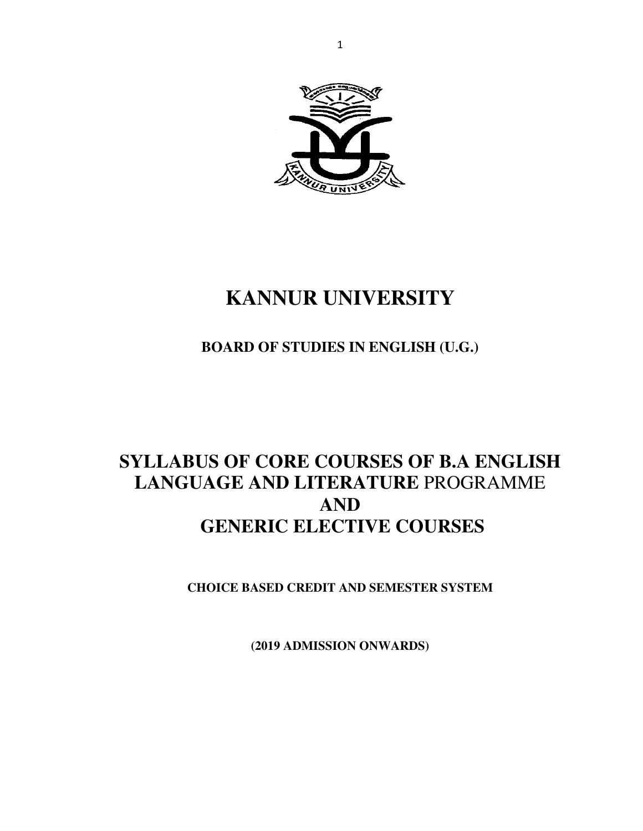

# **KANNUR UNIVERSITY**

# **BOARD OF STUDIES IN ENGLISH (U.G.)**

# **SYLLABUS OF CORE COURSES OF B.A ENGLISH LANGUAGE AND LITERATURE** PROGRAMME **AND GENERIC ELECTIVE COURSES**

**CHOICE BASED CREDIT AND SEMESTER SYSTEM** 

**(2019 ADMISSION ONWARDS)**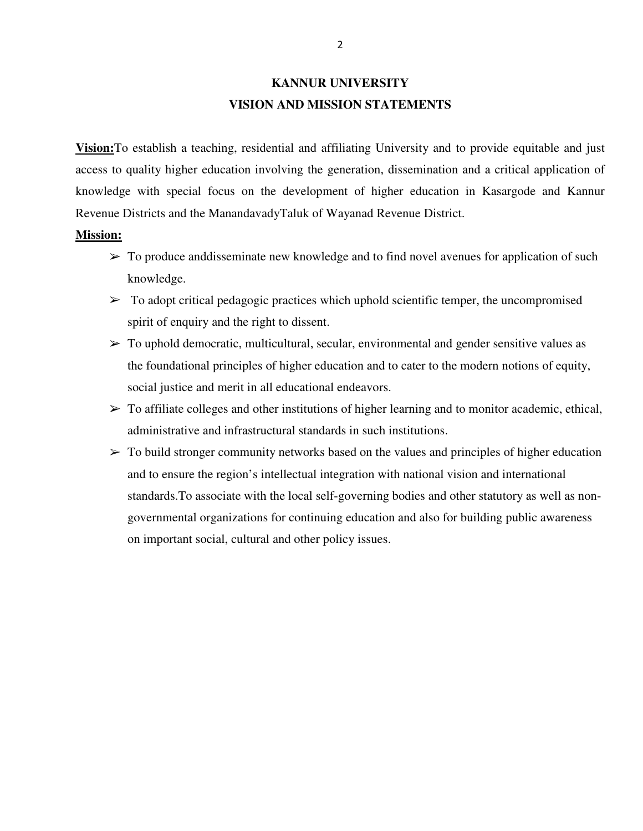# **KANNUR UNIVERSITY VISION AND MISSION STATEMENTS**

**Vision:**To establish a teaching, residential and affiliating University and to provide equitable and just access to quality higher education involving the generation, dissemination and a critical application of knowledge with special focus on the development of higher education in Kasargode and Kannur Revenue Districts and the ManandavadyTaluk of Wayanad Revenue District.

#### **Mission:**

- $\triangleright$  To produce and disseminate new knowledge and to find novel avenues for application of such knowledge.
- $\triangleright$  To adopt critical pedagogic practices which uphold scientific temper, the uncompromised spirit of enquiry and the right to dissent.
- $\triangleright$  To uphold democratic, multicultural, secular, environmental and gender sensitive values as the foundational principles of higher education and to cater to the modern notions of equity, social justice and merit in all educational endeavors.
- $\triangleright$  To affiliate colleges and other institutions of higher learning and to monitor academic, ethical, administrative and infrastructural standards in such institutions.
- $\triangleright$  To build stronger community networks based on the values and principles of higher education and to ensure the region's intellectual integration with national vision and international standards.To associate with the local self-governing bodies and other statutory as well as nongovernmental organizations for continuing education and also for building public awareness on important social, cultural and other policy issues.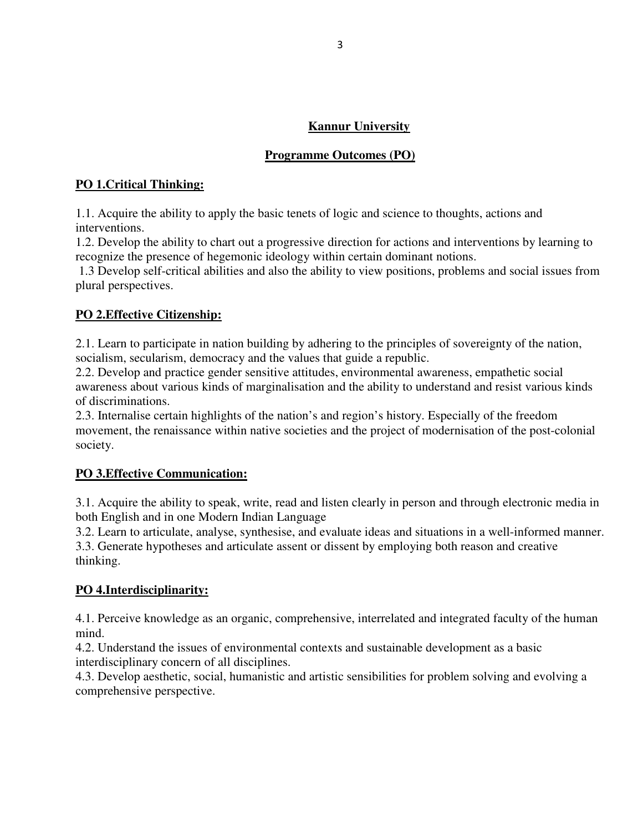# **Kannur University**

# **Programme Outcomes (PO)**

## **PO 1.Critical Thinking:**

1.1. Acquire the ability to apply the basic tenets of logic and science to thoughts, actions and interventions.

1.2. Develop the ability to chart out a progressive direction for actions and interventions by learning to recognize the presence of hegemonic ideology within certain dominant notions.

 1.3 Develop self-critical abilities and also the ability to view positions, problems and social issues from plural perspectives.

# **PO 2.Effective Citizenship:**

2.1. Learn to participate in nation building by adhering to the principles of sovereignty of the nation, socialism, secularism, democracy and the values that guide a republic.

2.2. Develop and practice gender sensitive attitudes, environmental awareness, empathetic social awareness about various kinds of marginalisation and the ability to understand and resist various kinds of discriminations.

2.3. Internalise certain highlights of the nation's and region's history. Especially of the freedom movement, the renaissance within native societies and the project of modernisation of the post-colonial society.

### **PO 3.Effective Communication:**

3.1. Acquire the ability to speak, write, read and listen clearly in person and through electronic media in both English and in one Modern Indian Language

3.2. Learn to articulate, analyse, synthesise, and evaluate ideas and situations in a well-informed manner. 3.3. Generate hypotheses and articulate assent or dissent by employing both reason and creative thinking.

### **PO 4.Interdisciplinarity:**

4.1. Perceive knowledge as an organic, comprehensive, interrelated and integrated faculty of the human mind.

4.2. Understand the issues of environmental contexts and sustainable development as a basic interdisciplinary concern of all disciplines.

4.3. Develop aesthetic, social, humanistic and artistic sensibilities for problem solving and evolving a comprehensive perspective.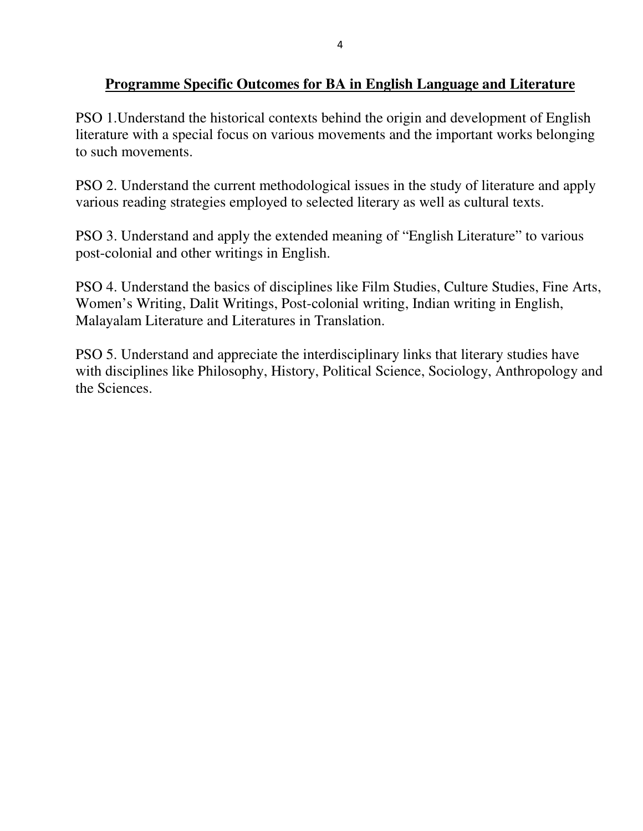# **Programme Specific Outcomes for BA in English Language and Literature**

PSO 1.Understand the historical contexts behind the origin and development of English literature with a special focus on various movements and the important works belonging to such movements.

PSO 2. Understand the current methodological issues in the study of literature and apply various reading strategies employed to selected literary as well as cultural texts.

PSO 3. Understand and apply the extended meaning of "English Literature" to various post-colonial and other writings in English.

PSO 4. Understand the basics of disciplines like Film Studies, Culture Studies, Fine Arts, Women's Writing, Dalit Writings, Post-colonial writing, Indian writing in English, Malayalam Literature and Literatures in Translation.

PSO 5. Understand and appreciate the interdisciplinary links that literary studies have with disciplines like Philosophy, History, Political Science, Sociology, Anthropology and the Sciences.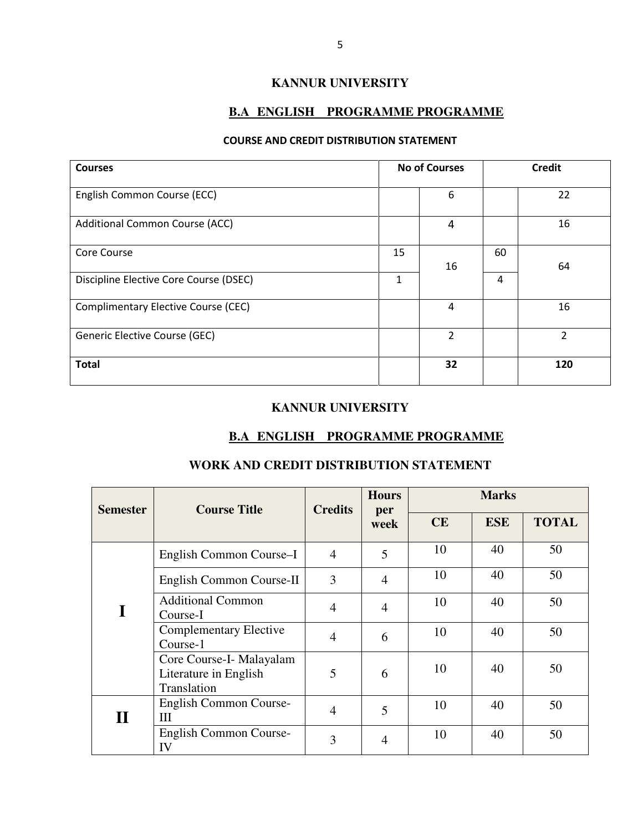### **KANNUR UNIVERSITY**

### **B.A ENGLISH PROGRAMME PROGRAMME**

#### COURSE AND CREDIT DISTRIBUTION STATEMENT

| <b>Courses</b>                             | <b>No of Courses</b> |                |    | <b>Credit</b>  |
|--------------------------------------------|----------------------|----------------|----|----------------|
| English Common Course (ECC)                |                      | 6              |    | 22             |
| <b>Additional Common Course (ACC)</b>      |                      | 4              |    | 16             |
| <b>Core Course</b>                         | 15                   | 16             | 60 | 64             |
| Discipline Elective Core Course (DSEC)     | 1                    |                | 4  |                |
| <b>Complimentary Elective Course (CEC)</b> |                      | 4              |    | 16             |
| Generic Elective Course (GEC)              |                      | $\overline{2}$ |    | $\overline{2}$ |
| <b>Total</b>                               |                      | 32             |    | 120            |

#### **KANNUR UNIVERSITY**

### **B.A ENGLISH PROGRAMME PROGRAMME**

### **WORK AND CREDIT DISTRIBUTION STATEMENT**

| <b>Semester</b> | <b>Course Title</b>                                              | <b>Credits</b> | <b>Hours</b><br>per |    | <b>Marks</b> |              |
|-----------------|------------------------------------------------------------------|----------------|---------------------|----|--------------|--------------|
|                 |                                                                  |                | week                | CE | <b>ESE</b>   | <b>TOTAL</b> |
|                 | English Common Course-I                                          | $\overline{4}$ | 5                   | 10 | 40           | 50           |
|                 | English Common Course-II                                         | 3              | $\overline{4}$      | 10 | 40           | 50           |
| I               | <b>Additional Common</b><br>Course-I                             | $\overline{4}$ | 4                   | 10 | 40           | 50           |
|                 | <b>Complementary Elective</b><br>Course-1                        | $\overline{4}$ | 6                   | 10 | 40           | 50           |
|                 | Core Course-I- Malayalam<br>Literature in English<br>Translation | 5              | 6                   | 10 | 40           | 50           |
| $\bf{II}$       | English Common Course-<br>H                                      | $\overline{4}$ | 5                   | 10 | 40           | 50           |
|                 | English Common Course-<br>IV                                     | 3              | 4                   | 10 | 40           | 50           |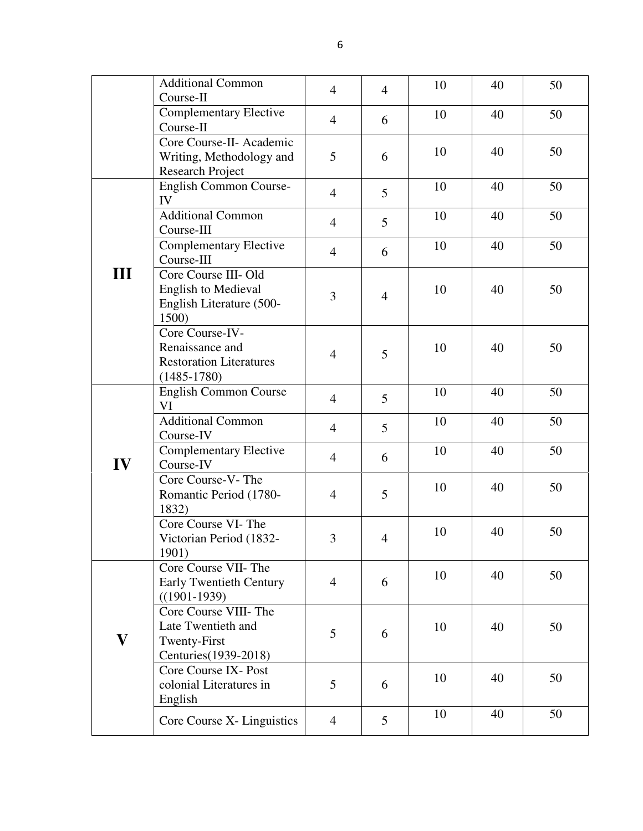|                         | <b>Additional Common</b>                                                                | $\overline{4}$ | $\overline{4}$ | 10 | 40 | 50 |
|-------------------------|-----------------------------------------------------------------------------------------|----------------|----------------|----|----|----|
|                         | Course-II<br><b>Complementary Elective</b><br>Course-II                                 | $\overline{4}$ | 6              | 10 | 40 | 50 |
|                         | Core Course-II- Academic<br>Writing, Methodology and<br>Research Project                | 5              | 6              | 10 | 40 | 50 |
|                         | English Common Course-<br>IV                                                            | $\overline{4}$ | 5              | 10 | 40 | 50 |
|                         | <b>Additional Common</b><br>Course-III                                                  | $\overline{4}$ | 5              | 10 | 40 | 50 |
|                         | <b>Complementary Elective</b><br>Course-III                                             | $\overline{4}$ | 6              | 10 | 40 | 50 |
| Ш                       | Core Course III- Old<br><b>English to Medieval</b><br>English Literature (500-<br>1500) | 3              | $\overline{4}$ | 10 | 40 | 50 |
|                         | Core Course-IV-<br>Renaissance and<br><b>Restoration Literatures</b><br>$(1485 - 1780)$ | $\overline{4}$ | 5              | 10 | 40 | 50 |
|                         | English Common Course<br>VI                                                             | $\overline{4}$ | 5              | 10 | 40 | 50 |
|                         | <b>Additional Common</b><br>Course-IV                                                   | $\overline{4}$ | 5              | 10 | 40 | 50 |
| IV                      | <b>Complementary Elective</b><br>Course-IV                                              | $\overline{4}$ | 6              | 10 | 40 | 50 |
|                         | Core Course-V-The<br>Romantic Period (1780-<br>1832)                                    | $\overline{4}$ | 5              | 10 | 40 | 50 |
|                         | Core Course VI-The<br>Victorian Period (1832-<br>1901)                                  | 3              | $\overline{4}$ | 10 | 40 | 50 |
|                         | Core Course VII- The<br><b>Early Twentieth Century</b><br>$((1901-1939))$               | $\overline{4}$ | 6              | 10 | 40 | 50 |
| $\overline{\mathbf{V}}$ | Core Course VIII- The<br>Late Twentieth and<br>Twenty-First<br>Centuries(1939-2018)     | 5              | 6              | 10 | 40 | 50 |
|                         | Core Course IX- Post<br>colonial Literatures in<br>English                              | 5              | 6              | 10 | 40 | 50 |
|                         | Core Course X- Linguistics                                                              | $\overline{4}$ | 5              | 10 | 40 | 50 |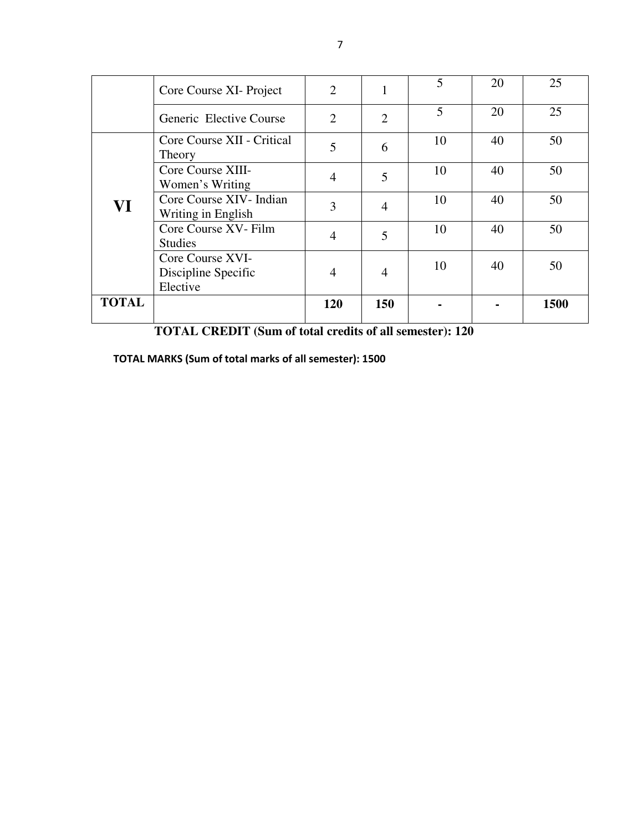|              | Core Course XI- Project                             | $\overline{2}$ |                | 5  | 20 | 25   |
|--------------|-----------------------------------------------------|----------------|----------------|----|----|------|
|              | Generic Elective Course                             | $\overline{2}$ | 2              | 5  | 20 | 25   |
|              | Core Course XII - Critical<br>Theory                | 5              | 6              | 10 | 40 | 50   |
|              | Core Course XIII-<br>Women's Writing                | $\overline{4}$ | 5              | 10 | 40 | 50   |
| VI           | Core Course XIV-Indian<br>Writing in English        | 3              | $\overline{4}$ | 10 | 40 | 50   |
|              | Core Course XV- Film<br><b>Studies</b>              | $\overline{4}$ | 5              | 10 | 40 | 50   |
|              | Core Course XVI-<br>Discipline Specific<br>Elective | 4              | 4              | 10 | 40 | 50   |
| <b>TOTAL</b> |                                                     | 120            | 150            |    |    | 1500 |

 **TOTAL CREDIT (Sum of total credits of all semester): 120** 

TOTAL MARKS (Sum of total marks of all semester): 1500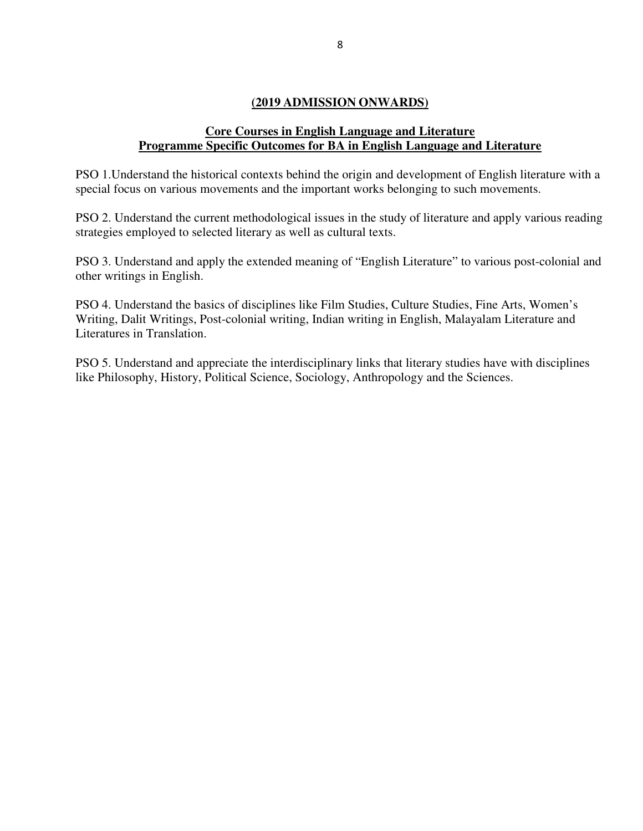### **(2019 ADMISSION ONWARDS)**

### **Core Courses in English Language and Literature Programme Specific Outcomes for BA in English Language and Literature**

PSO 1.Understand the historical contexts behind the origin and development of English literature with a special focus on various movements and the important works belonging to such movements.

PSO 2. Understand the current methodological issues in the study of literature and apply various reading strategies employed to selected literary as well as cultural texts.

PSO 3. Understand and apply the extended meaning of "English Literature" to various post-colonial and other writings in English.

PSO 4. Understand the basics of disciplines like Film Studies, Culture Studies, Fine Arts, Women's Writing, Dalit Writings, Post-colonial writing, Indian writing in English, Malayalam Literature and Literatures in Translation.

PSO 5. Understand and appreciate the interdisciplinary links that literary studies have with disciplines like Philosophy, History, Political Science, Sociology, Anthropology and the Sciences.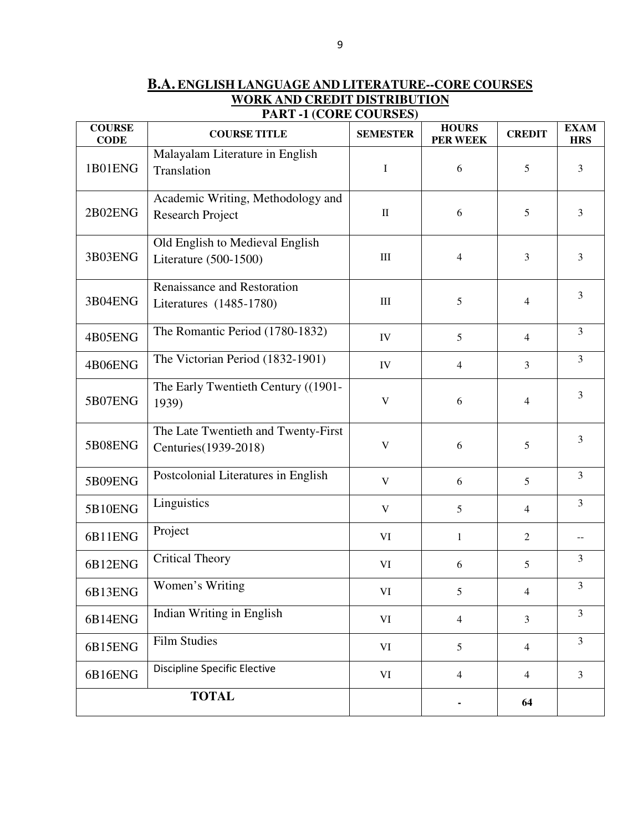**B.A. ENGLISH LANGUAGE AND LITERATURE--CORE COURSES WORK AND CREDIT DISTRIBUTION PART -1 (CORE COURSES)** 

| <b>COURSE</b><br><b>CODE</b> | <b>COURSE TITLE</b>                                          | <b>SEMESTER</b> | <b>HOURS</b><br>PER WEEK | <b>CREDIT</b>  | <b>EXAM</b><br><b>HRS</b> |
|------------------------------|--------------------------------------------------------------|-----------------|--------------------------|----------------|---------------------------|
| 1B01ENG                      | Malayalam Literature in English<br>Translation               | $\mathbf I$     | 6                        | 5              | $\mathfrak{Z}$            |
| 2B02ENG                      | Academic Writing, Methodology and<br><b>Research Project</b> | $\rm II$        | 6                        | 5              | $\overline{3}$            |
| 3B03ENG                      | Old English to Medieval English<br>Literature (500-1500)     | $\rm III$       | 4                        | 3              | $\overline{3}$            |
| 3B04ENG                      | Renaissance and Restoration<br>Literatures (1485-1780)       | $\rm III$       | 5                        | $\overline{4}$ | $\overline{3}$            |
| 4B05ENG                      | The Romantic Period (1780-1832)                              | ${\rm IV}$      | 5                        | $\overline{4}$ | $\overline{3}$            |
| 4B06ENG                      | The Victorian Period (1832-1901)                             | IV              | $\overline{4}$           | $\overline{3}$ | $\overline{3}$            |
| 5B07ENG                      | The Early Twentieth Century ((1901-<br>1939)                 | $\mathbf V$     | 6                        | $\overline{4}$ | $\overline{3}$            |
| 5B08ENG                      | The Late Twentieth and Twenty-First<br>Centuries (1939-2018) | $\mathbf V$     | 6                        | 5              | $\overline{3}$            |
| 5B09ENG                      | Postcolonial Literatures in English                          | $\mathbf V$     | 6                        | 5              | $\overline{3}$            |
| 5B10ENG                      | Linguistics                                                  | $\mathbf V$     | 5                        | $\overline{4}$ | $\overline{3}$            |
| 6B11ENG                      | Project                                                      | VI              | $\mathbf{1}$             | 2              | $- -$                     |
| 6B12ENG                      | <b>Critical Theory</b>                                       | VI              | 6                        | 5              | $\mathfrak{Z}$            |
| 6B13ENG                      | Women's Writing                                              | VI              | $5\overline{)}$          | $\overline{4}$ | $\overline{3}$            |
| 6B14ENG                      | Indian Writing in English                                    | VI              | $\overline{4}$           | $\overline{3}$ | 3                         |
| 6B15ENG                      | <b>Film Studies</b>                                          | VI              | 5                        | $\overline{4}$ | $\overline{3}$            |
| 6B16ENG                      | <b>Discipline Specific Elective</b>                          | VI              | $\overline{4}$           | $\overline{4}$ | $\mathfrak{Z}$            |
|                              | <b>TOTAL</b>                                                 |                 |                          | 64             |                           |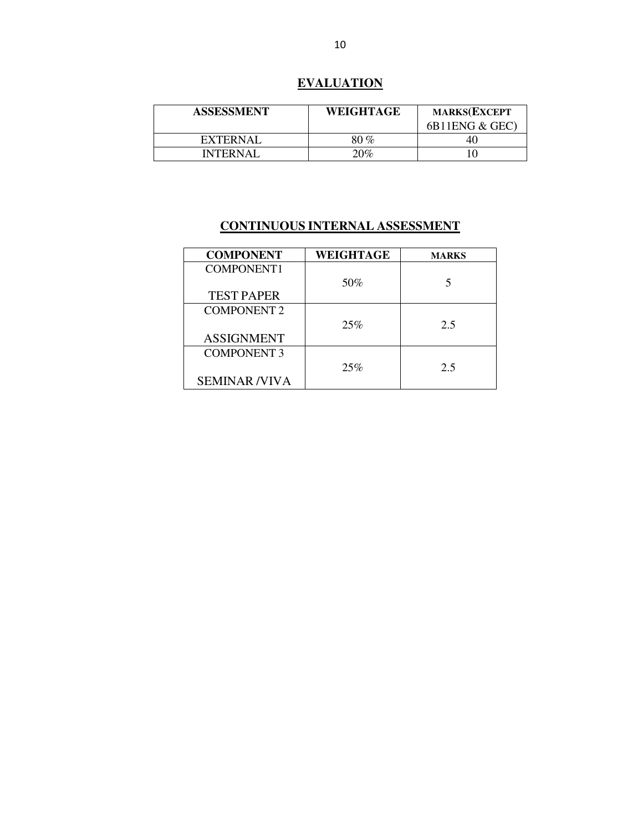# **EVALUATION**

| <b>ASSESSMENT</b> | WEIGHTAGE | <b>MARKS(EXCEPT</b><br>6B11ENG & GEC |
|-------------------|-----------|--------------------------------------|
| <b>EXTERNAL</b>   | 80 %      | 40                                   |
| INTERNAL          | $20\%$    |                                      |

| <b>COMPONENT</b>    | WEIGHTAGE | <b>MARKS</b> |
|---------------------|-----------|--------------|
| COMPONENT1          |           |              |
|                     | 50%       |              |
| <b>TEST PAPER</b>   |           |              |
| <b>COMPONENT 2</b>  |           |              |
|                     | 25%       | 2.5          |
| <b>ASSIGNMENT</b>   |           |              |
| <b>COMPONENT 3</b>  |           |              |
|                     | 25%       | 2.5          |
| <b>SEMINAR/VIVA</b> |           |              |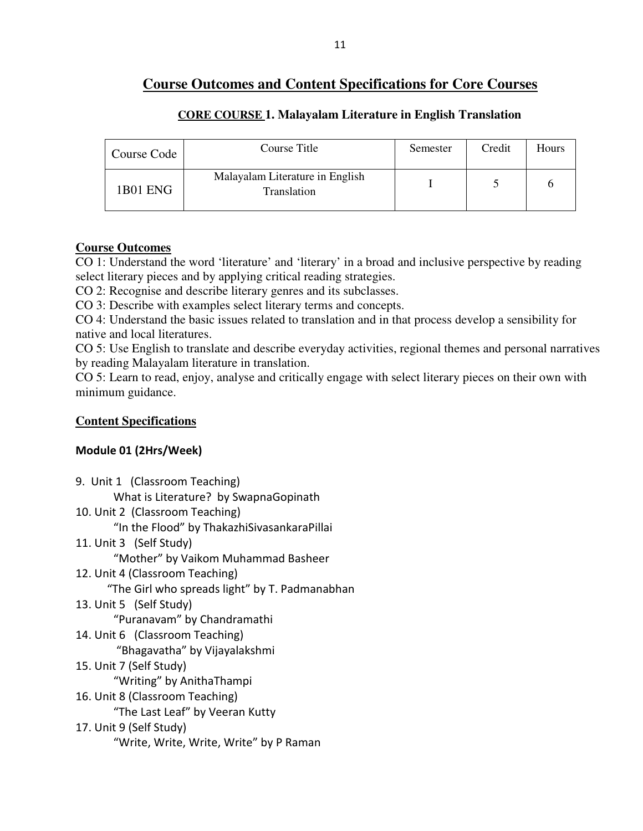# **Course Outcomes and Content Specifications for Core Courses**

| Course Code | Course Title                                   | Semester | Credit | Hours |
|-------------|------------------------------------------------|----------|--------|-------|
| 1B01 ENG    | Malayalam Literature in English<br>Translation |          |        |       |

### **CORE COURSE 1. Malayalam Literature in English Translation**

### **Course Outcomes**

CO 1: Understand the word 'literature' and 'literary' in a broad and inclusive perspective by reading select literary pieces and by applying critical reading strategies.

CO 2: Recognise and describe literary genres and its subclasses.

CO 3: Describe with examples select literary terms and concepts.

CO 4: Understand the basic issues related to translation and in that process develop a sensibility for native and local literatures.

CO 5: Use English to translate and describe everyday activities, regional themes and personal narratives by reading Malayalam literature in translation.

CO 5: Learn to read, enjoy, analyse and critically engage with select literary pieces on their own with minimum guidance.

## **Content Specifications**

# Module 01 (2Hrs/Week)

9. Unit 1 (Classroom Teaching)

What is Literature? by SwapnaGopinath

10. Unit 2 (Classroom Teaching)

"In the Flood" by ThakazhiSivasankaraPillai

11. Unit 3 (Self Study)

"Mother" by Vaikom Muhammad Basheer

12. Unit 4 (Classroom Teaching)

"The Girl who spreads light" by T. Padmanabhan

13. Unit 5 (Self Study)

"Puranavam" by Chandramathi

- 14. Unit 6 (Classroom Teaching) "Bhagavatha" by Vijayalakshmi
- 15. Unit 7 (Self Study)

"Writing" by AnithaThampi

16. Unit 8 (Classroom Teaching)

"The Last Leaf" by Veeran Kutty

### 17. Unit 9 (Self Study) "Write, Write, Write, Write" by P Raman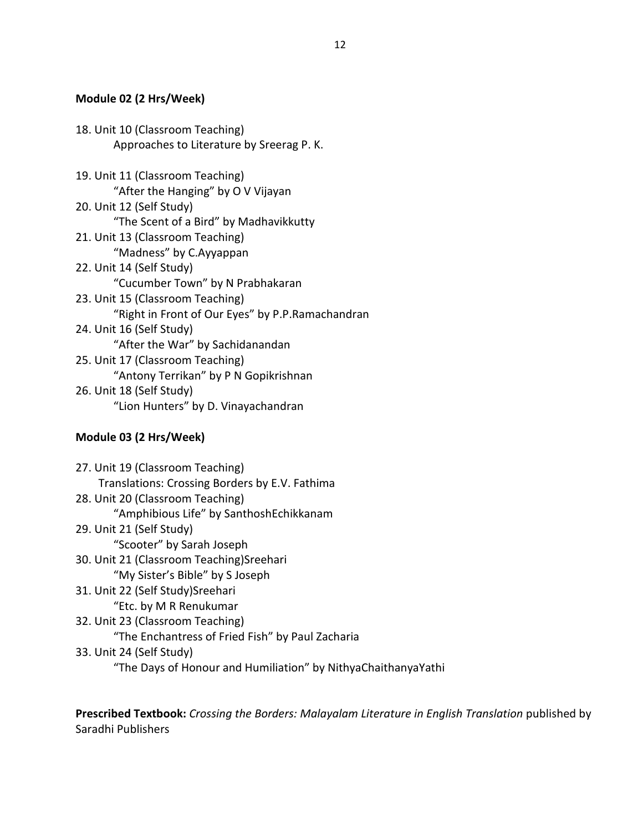### Module 02 (2 Hrs/Week)

18. Unit 10 (Classroom Teaching) Approaches to Literature by Sreerag P. K. 19. Unit 11 (Classroom Teaching) "After the Hanging" by O V Vijayan 20. Unit 12 (Self Study) "The Scent of a Bird" by Madhavikkutty 21. Unit 13 (Classroom Teaching) "Madness" by C.Ayyappan 22. Unit 14 (Self Study) "Cucumber Town" by N Prabhakaran 23. Unit 15 (Classroom Teaching) "Right in Front of Our Eyes" by P.P.Ramachandran 24. Unit 16 (Self Study) "After the War" by Sachidanandan 25. Unit 17 (Classroom Teaching) "Antony Terrikan" by P N Gopikrishnan 26. Unit 18 (Self Study) "Lion Hunters" by D. Vinayachandran

# Module 03 (2 Hrs/Week)

27. Unit 19 (Classroom Teaching) Translations: Crossing Borders by E.V. Fathima 28. Unit 20 (Classroom Teaching) "Amphibious Life" by SanthoshEchikkanam 29. Unit 21 (Self Study) "Scooter" by Sarah Joseph 30. Unit 21 (Classroom Teaching)Sreehari "My Sister's Bible" by S Joseph 31. Unit 22 (Self Study)Sreehari "Etc. by M R Renukumar 32. Unit 23 (Classroom Teaching) "The Enchantress of Fried Fish" by Paul Zacharia 33. Unit 24 (Self Study) "The Days of Honour and Humiliation" by NithyaChaithanyaYathi

Prescribed Textbook: Crossing the Borders: Malayalam Literature in English Translation published by Saradhi Publishers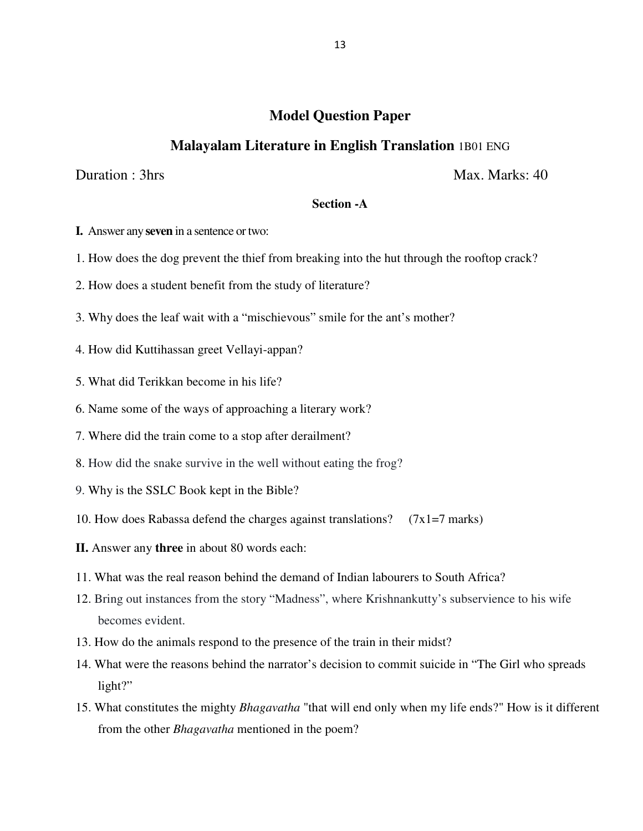## **Model Question Paper**

### **Malayalam Literature in English Translation** 1B01 ENG

Duration : 3hrs Max. Marks: 40

### **Section -A**

- **I.** Answer any **seven** in a sentence or two:
- 1. How does the dog prevent the thief from breaking into the hut through the rooftop crack?
- 2. How does a student benefit from the study of literature?
- 3. Why does the leaf wait with a "mischievous" smile for the ant's mother?
- 4. How did Kuttihassan greet Vellayi-appan?
- 5. What did Terikkan become in his life?
- 6. Name some of the ways of approaching a literary work?
- 7. Where did the train come to a stop after derailment?
- 8. How did the snake survive in the well without eating the frog?
- 9. Why is the SSLC Book kept in the Bible?
- 10. How does Rabassa defend the charges against translations?  $(7x1=7 \text{ marks})$
- **II.** Answer any **three** in about 80 words each:
- 11. What was the real reason behind the demand of Indian labourers to South Africa?
- 12. Bring out instances from the story "Madness", where Krishnankutty's subservience to his wife becomes evident.
- 13. How do the animals respond to the presence of the train in their midst?
- 14. What were the reasons behind the narrator's decision to commit suicide in "The Girl who spreads light?"
- 15. What constitutes the mighty *Bhagavatha* "that will end only when my life ends?" How is it different from the other *Bhagavatha* mentioned in the poem?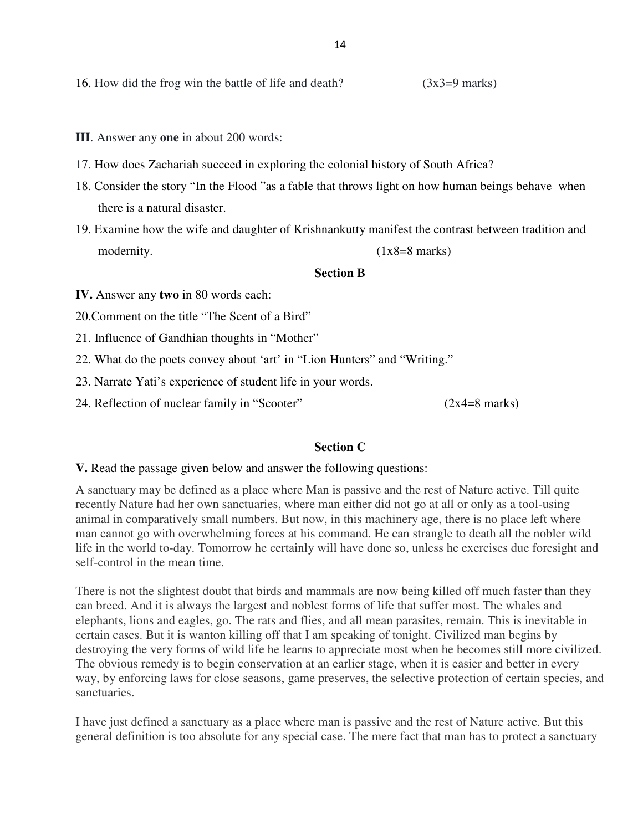16. How did the frog win the battle of life and death?  $(3x3=9 \text{ marks})$ 

- **III**. Answer any **one** in about 200 words:
- 17. How does Zachariah succeed in exploring the colonial history of South Africa?
- 18. Consider the story "In the Flood "as a fable that throws light on how human beings behave when there is a natural disaster.
- 19. Examine how the wife and daughter of Krishnankutty manifest the contrast between tradition and modernity. (1x8=8 marks)

#### **Section B**

**IV.** Answer any **two** in 80 words each:

20.Comment on the title "The Scent of a Bird"

21. Influence of Gandhian thoughts in "Mother"

22. What do the poets convey about 'art' in "Lion Hunters" and "Writing."

23. Narrate Yati's experience of student life in your words.

24. Reflection of nuclear family in "Scooter" (2x4=8 marks)

### **Section C**

**V.** Read the passage given below and answer the following questions:

A sanctuary may be defined as a place where Man is passive and the rest of Nature active. Till quite recently Nature had her own sanctuaries, where man either did not go at all or only as a tool-using animal in comparatively small numbers. But now, in this machinery age, there is no place left where man cannot go with overwhelming forces at his command. He can strangle to death all the nobler wild life in the world to-day. Tomorrow he certainly will have done so, unless he exercises due foresight and self-control in the mean time.

There is not the slightest doubt that birds and mammals are now being killed off much faster than they can breed. And it is always the largest and noblest forms of life that suffer most. The whales and elephants, lions and eagles, go. The rats and flies, and all mean parasites, remain. This is inevitable in certain cases. But it is wanton killing off that I am speaking of tonight. Civilized man begins by destroying the very forms of wild life he learns to appreciate most when he becomes still more civilized. The obvious remedy is to begin conservation at an earlier stage, when it is easier and better in every way, by enforcing laws for close seasons, game preserves, the selective protection of certain species, and sanctuaries.

I have just defined a sanctuary as a place where man is passive and the rest of Nature active. But this general definition is too absolute for any special case. The mere fact that man has to protect a sanctuary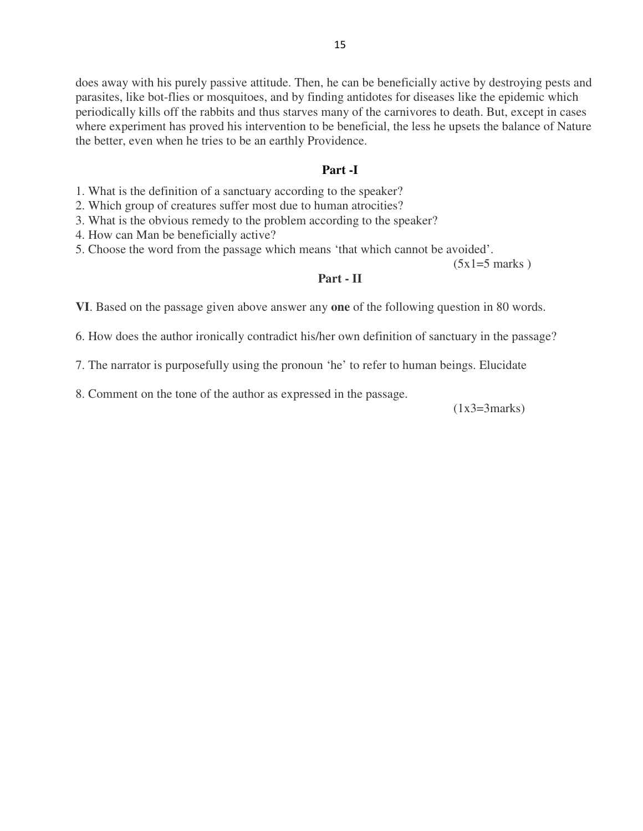does away with his purely passive attitude. Then, he can be beneficially active by destroying pests and parasites, like bot-flies or mosquitoes, and by finding antidotes for diseases like the epidemic which periodically kills off the rabbits and thus starves many of the carnivores to death. But, except in cases where experiment has proved his intervention to be beneficial, the less he upsets the balance of Nature the better, even when he tries to be an earthly Providence.

#### **Part -I**

1. What is the definition of a sanctuary according to the speaker?

2. Which group of creatures suffer most due to human atrocities?

3. What is the obvious remedy to the problem according to the speaker?

4. How can Man be beneficially active?

5. Choose the word from the passage which means 'that which cannot be avoided'.

 $(5x1=5$  marks)

#### **Part - II**

**VI**. Based on the passage given above answer any **one** of the following question in 80 words.

6. How does the author ironically contradict his/her own definition of sanctuary in the passage?

7. The narrator is purposefully using the pronoun 'he' to refer to human beings. Elucidate

8. Comment on the tone of the author as expressed in the passage.

 $(1x3=3marks)$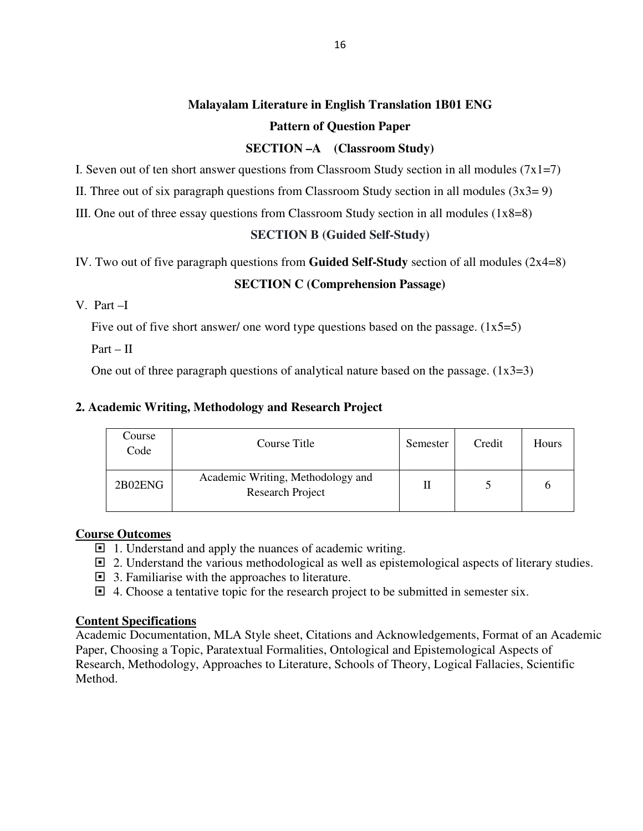# **Malayalam Literature in English Translation 1B01 ENG Pattern of Question Paper**

### **SECTION –A (Classroom Study)**

I. Seven out of ten short answer questions from Classroom Study section in all modules ( $7x1=7$ )

II. Three out of six paragraph questions from Classroom Study section in all modules  $(3x3=9)$ 

III. One out of three essay questions from Classroom Study section in all modules (1x8=8)

### **SECTION B (Guided Self-Study)**

IV. Two out of five paragraph questions from **Guided Self-Study** section of all modules (2x4=8)

### **SECTION C (Comprehension Passage)**

### V. Part –I

Five out of five short answer/ one word type questions based on the passage.  $(1x5=5)$ 

 $Part - II$ 

One out of three paragraph questions of analytical nature based on the passage.  $(1x3=3)$ 

### **2. Academic Writing, Methodology and Research Project**

| Course<br>Code | Course Title                                          | Semester | Credit | <b>Hours</b> |
|----------------|-------------------------------------------------------|----------|--------|--------------|
| 2B02ENG        | Academic Writing, Methodology and<br>Research Project |          |        |              |

### **Course Outcomes**

- $\Box$  1. Understand and apply the nuances of academic writing.
- $\Box$  2. Understand the various methodological as well as epistemological aspects of literary studies.
- $\Box$  3. Familiarise with the approaches to literature.
- $\Box$  4. Choose a tentative topic for the research project to be submitted in semester six.

### **Content Specifications**

Academic Documentation, MLA Style sheet, Citations and Acknowledgements, Format of an Academic Paper, Choosing a Topic, Paratextual Formalities, Ontological and Epistemological Aspects of Research, Methodology, Approaches to Literature, Schools of Theory, Logical Fallacies, Scientific Method.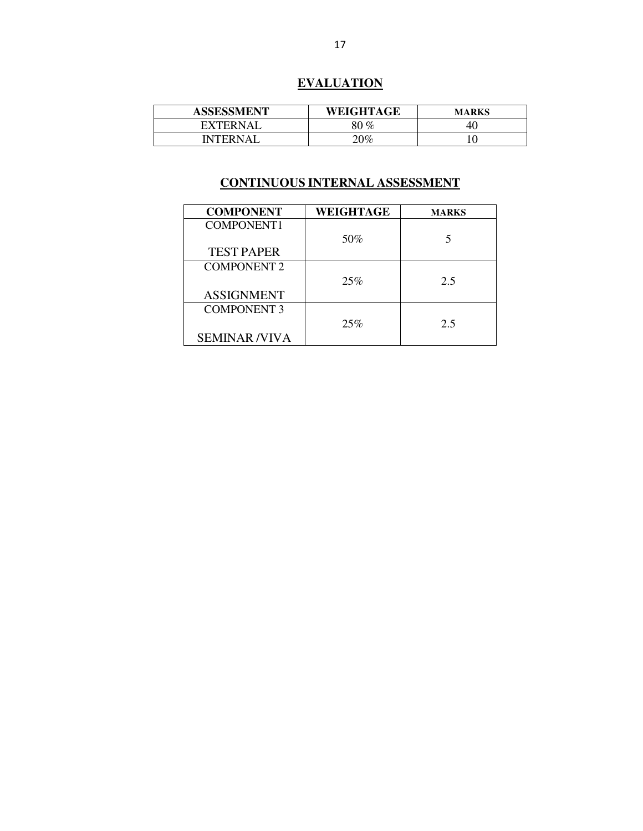# **EVALUATION**

| <b>ASSESSMENT</b>         | WEIGHTAGE | <b>MARKS</b> |
|---------------------------|-----------|--------------|
| <sup>7</sup> XTERNAI<br>н | $80\,\%$  | -40          |
| <b>NTERNAI</b>            | $20\%$    | ΙU           |

| <b>COMPONENT</b>    | <b>WEIGHTAGE</b> | <b>MARKS</b> |
|---------------------|------------------|--------------|
| COMPONENT1          |                  |              |
|                     | 50%              |              |
| <b>TEST PAPER</b>   |                  |              |
| <b>COMPONENT 2</b>  |                  |              |
|                     | 25%              | 2.5          |
| <b>ASSIGNMENT</b>   |                  |              |
| <b>COMPONENT 3</b>  |                  |              |
|                     | 25%              | 2.5          |
| <b>SEMINAR/VIVA</b> |                  |              |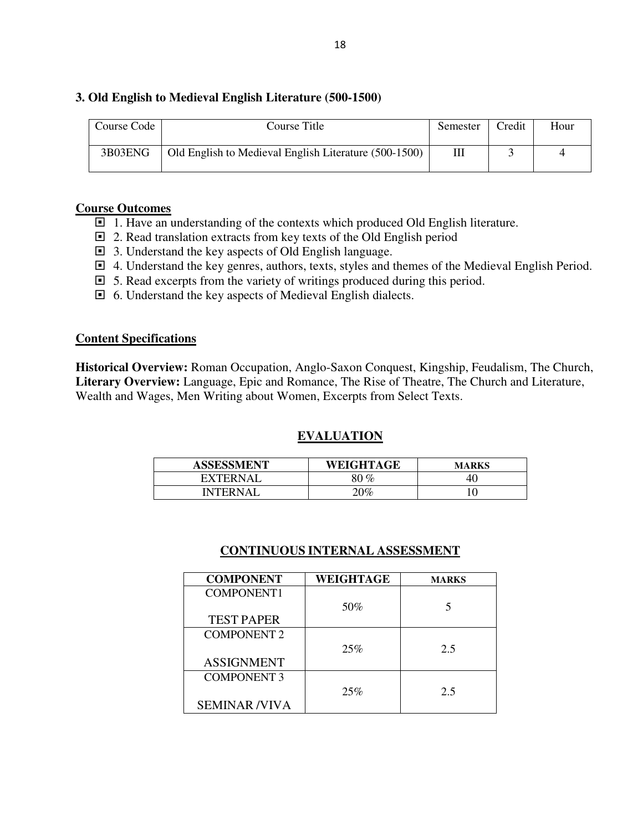### **3. Old English to Medieval English Literature (500-1500)**

| Course Code | Course Title                                          | Semester | Credit | Hour |
|-------------|-------------------------------------------------------|----------|--------|------|
| 3B03ENG     | Old English to Medieval English Literature (500-1500) |          |        |      |

#### **Course Outcomes**

- $\Box$  1. Have an understanding of the contexts which produced Old English literature.
- $\Box$  2. Read translation extracts from key texts of the Old English period
- 3. Understand the key aspects of Old English language.
- 4. Understand the key genres, authors, texts, styles and themes of the Medieval English Period.
- $\Box$  5. Read excerpts from the variety of writings produced during this period.
- 6. Understand the key aspects of Medieval English dialects.

#### **Content Specifications**

**Historical Overview:** Roman Occupation, Anglo-Saxon Conquest, Kingship, Feudalism, The Church, **Literary Overview:** Language, Epic and Romance, The Rise of Theatre, The Church and Literature, Wealth and Wages, Men Writing about Women, Excerpts from Select Texts.

### **EVALUATION**

| <b>ASSESSMENT</b> | WEIGHTAGE | <b>MARKS</b> |
|-------------------|-----------|--------------|
| <b>FXTERNAL</b>   | ) $\%$    |              |
| <b>INTERNAL</b>   | $20\%$    |              |

| <b>COMPONENT</b>    | WEIGHTAGE | <b>MARKS</b> |
|---------------------|-----------|--------------|
| COMPONENT1          |           |              |
|                     | 50%       | 5            |
| <b>TEST PAPER</b>   |           |              |
| <b>COMPONENT 2</b>  |           |              |
|                     | 25%       | 2.5          |
| <b>ASSIGNMENT</b>   |           |              |
| <b>COMPONENT 3</b>  |           |              |
|                     | 25%       | 2.5          |
| <b>SEMINAR/VIVA</b> |           |              |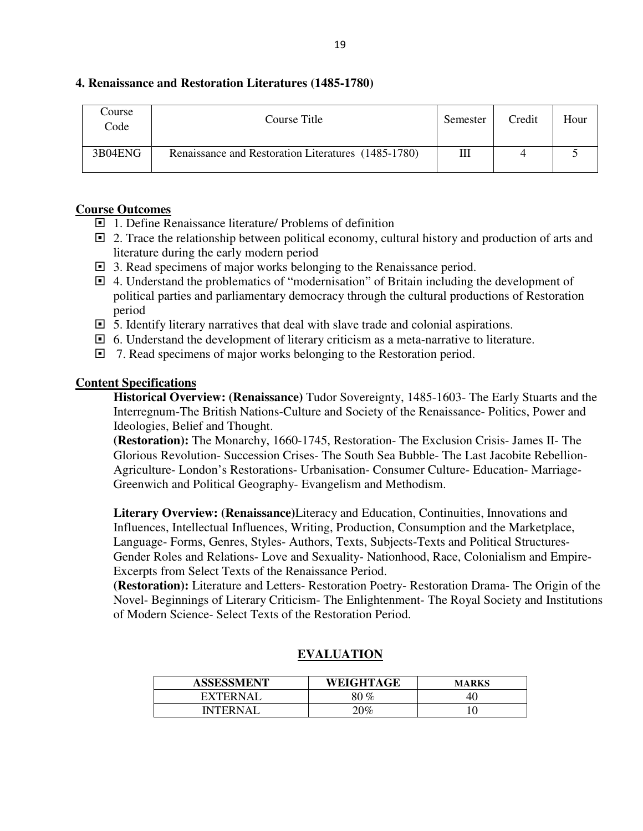| Course<br>Code | Course Title                                        | Semester | Credit | Hour |
|----------------|-----------------------------------------------------|----------|--------|------|
| 3B04ENG        | Renaissance and Restoration Literatures (1485-1780) | Ш        |        |      |

### **4. Renaissance and Restoration Literatures (1485-1780)**

### **Course Outcomes**

- □ 1. Define Renaissance literature/ Problems of definition
- $\Box$  2. Trace the relationship between political economy, cultural history and production of arts and literature during the early modern period
- 3. Read specimens of major works belonging to the Renaissance period.
- 4. Understand the problematics of "modernisation" of Britain including the development of political parties and parliamentary democracy through the cultural productions of Restoration period
- $\Box$  5. Identify literary narratives that deal with slave trade and colonial aspirations.
- $\Box$  6. Understand the development of literary criticism as a meta-narrative to literature.
- □ 7. Read specimens of major works belonging to the Restoration period.

### **Content Specifications**

**Historical Overview: (Renaissance)** Tudor Sovereignty, 1485-1603- The Early Stuarts and the Interregnum-The British Nations-Culture and Society of the Renaissance- Politics, Power and Ideologies, Belief and Thought.

**(Restoration):** The Monarchy, 1660-1745, Restoration- The Exclusion Crisis- James II- The Glorious Revolution- Succession Crises- The South Sea Bubble- The Last Jacobite Rebellion-Agriculture- London's Restorations- Urbanisation- Consumer Culture- Education- Marriage-Greenwich and Political Geography- Evangelism and Methodism.

**Literary Overview: (Renaissance)**Literacy and Education, Continuities, Innovations and Influences, Intellectual Influences, Writing, Production, Consumption and the Marketplace, Language- Forms, Genres, Styles- Authors, Texts, Subjects-Texts and Political Structures-Gender Roles and Relations- Love and Sexuality- Nationhood, Race, Colonialism and Empire-Excerpts from Select Texts of the Renaissance Period.

**(Restoration):** Literature and Letters- Restoration Poetry- Restoration Drama- The Origin of the Novel- Beginnings of Literary Criticism- The Enlightenment- The Royal Society and Institutions of Modern Science- Select Texts of the Restoration Period.

| <b>ASSESSMENT</b> | WEIGHTAGE | <b>MARKS</b> |
|-------------------|-----------|--------------|
| <b>FXTFRNAI</b>   | 80 %      | 40           |
| INTERN A I        | $20\%$    |              |

### **EVALUATION**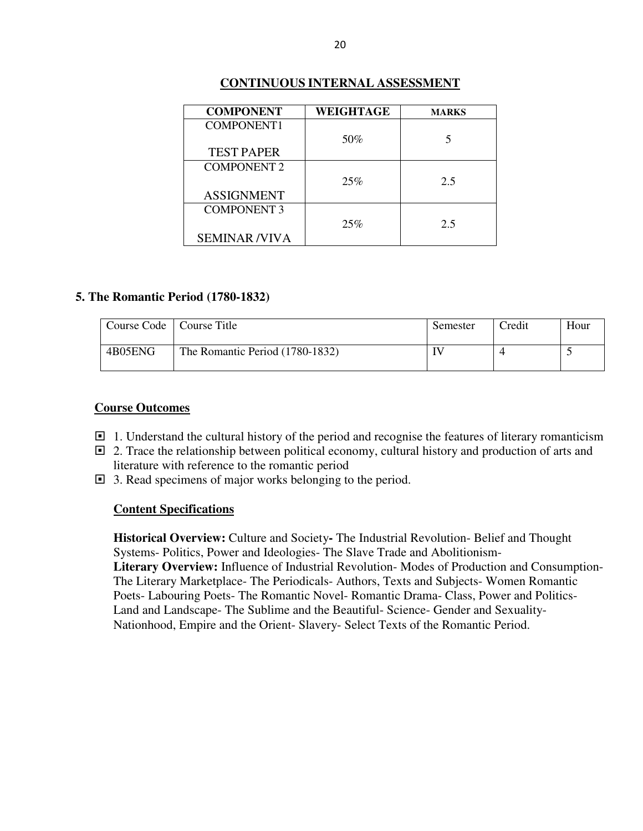| <b>COMPONENT</b>    | WEIGHTAGE | <b>MARKS</b> |
|---------------------|-----------|--------------|
| <b>COMPONENT1</b>   |           |              |
|                     | 50%       |              |
| <b>TEST PAPER</b>   |           |              |
| <b>COMPONENT 2</b>  |           |              |
|                     | 25%       | 2.5          |
| <b>ASSIGNMENT</b>   |           |              |
| <b>COMPONENT 3</b>  |           |              |
|                     | 25%       | 2.5          |
| <b>SEMINAR/VIVA</b> |           |              |

### **CONTINUOUS INTERNAL ASSESSMENT**

#### **5. The Romantic Period (1780-1832)**

| Course Code | Course Title                    | Semester | <b>Tredit</b> | Hour |
|-------------|---------------------------------|----------|---------------|------|
| 4B05ENG     | The Romantic Period (1780-1832) | IV       |               |      |

#### **Course Outcomes**

- $\Box$  1. Understand the cultural history of the period and recognise the features of literary romanticism
- $\Box$  2. Trace the relationship between political economy, cultural history and production of arts and literature with reference to the romantic period
- □ 3. Read specimens of major works belonging to the period.

#### **Content Specifications**

**Historical Overview:** Culture and Society**-** The Industrial Revolution- Belief and Thought Systems- Politics, Power and Ideologies- The Slave Trade and Abolitionism-**Literary Overview:** Influence of Industrial Revolution- Modes of Production and Consumption-The Literary Marketplace- The Periodicals- Authors, Texts and Subjects- Women Romantic Poets- Labouring Poets- The Romantic Novel- Romantic Drama- Class, Power and Politics-Land and Landscape- The Sublime and the Beautiful- Science- Gender and Sexuality-Nationhood, Empire and the Orient- Slavery- Select Texts of the Romantic Period.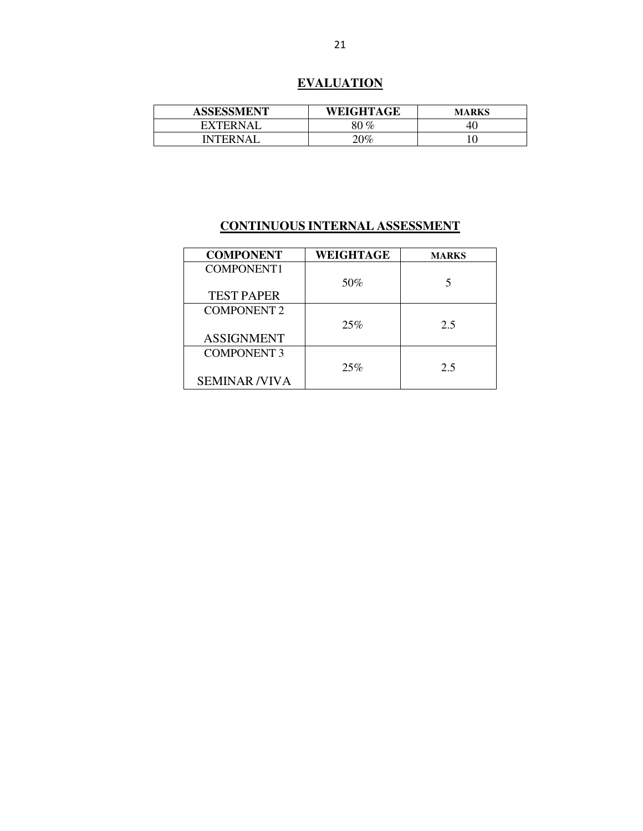# **EVALUATION**

| <b>ASSESSMENT</b> | WEIGHTAGE | MARKS |
|-------------------|-----------|-------|
| EXTERNAL          | $0\,\%$   | 40    |
| <b>INTERNAI</b>   | $20\%$    |       |

| <b>COMPONENT</b>    | WEIGHTAGE | <b>MARKS</b> |
|---------------------|-----------|--------------|
| COMPONENT1          |           |              |
|                     | 50%       |              |
| <b>TEST PAPER</b>   |           |              |
| <b>COMPONENT 2</b>  |           |              |
|                     | 25%       | 2.5          |
| <b>ASSIGNMENT</b>   |           |              |
| <b>COMPONENT 3</b>  |           |              |
|                     | 25%       | 2.5          |
| <b>SEMINAR/VIVA</b> |           |              |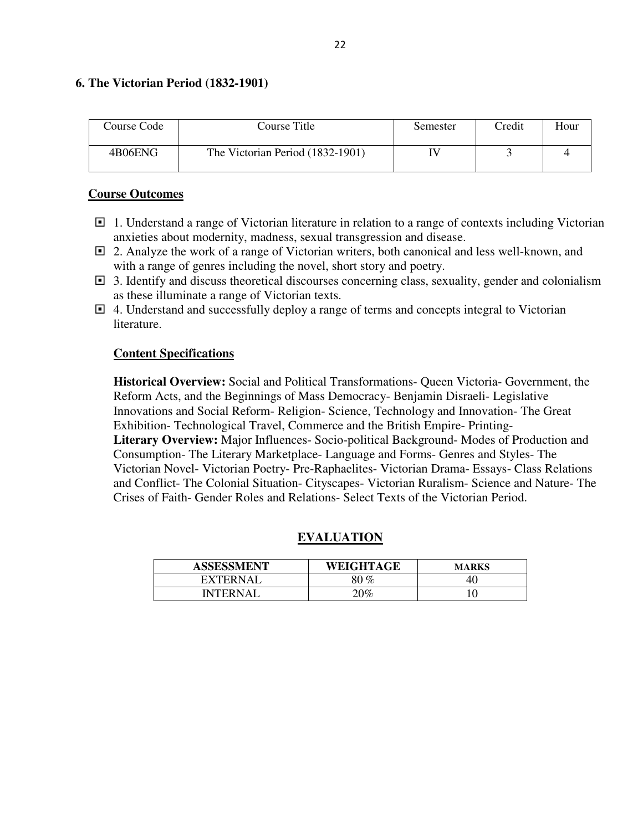### **6. The Victorian Period (1832-1901)**

| Course Code | Course Title                     | Semester | <b>Tredit</b> | Hour |
|-------------|----------------------------------|----------|---------------|------|
| 4B06ENG     | The Victorian Period (1832-1901) |          |               |      |

### **Course Outcomes**

- □ 1. Understand a range of Victorian literature in relation to a range of contexts including Victorian anxieties about modernity, madness, sexual transgression and disease.
- 2. Analyze the work of a range of Victorian writers, both canonical and less well-known, and with a range of genres including the novel, short story and poetry.
- $\Box$  3. Identify and discuss theoretical discourses concerning class, sexuality, gender and colonialism as these illuminate a range of Victorian texts.
- $\Box$  4. Understand and successfully deploy a range of terms and concepts integral to Victorian literature.

### **Content Specifications**

**Historical Overview:** Social and Political Transformations- Queen Victoria- Government, the Reform Acts, and the Beginnings of Mass Democracy- Benjamin Disraeli- Legislative Innovations and Social Reform- Religion- Science, Technology and Innovation- The Great Exhibition- Technological Travel, Commerce and the British Empire- Printing-**Literary Overview:** Major Influences- Socio-political Background- Modes of Production and Consumption- The Literary Marketplace- Language and Forms- Genres and Styles- The Victorian Novel- Victorian Poetry- Pre-Raphaelites- Victorian Drama- Essays- Class Relations and Conflict- The Colonial Situation- Cityscapes- Victorian Ruralism- Science and Nature- The Crises of Faith- Gender Roles and Relations- Select Texts of the Victorian Period.

### **EVALUATION**

| <b>ASSESSMENT</b> | WEIGHTAGE | <b>MARKS</b> |
|-------------------|-----------|--------------|
| EXTERNAL          | 80 %      | 40           |
| INTFRNAI          | 20%       |              |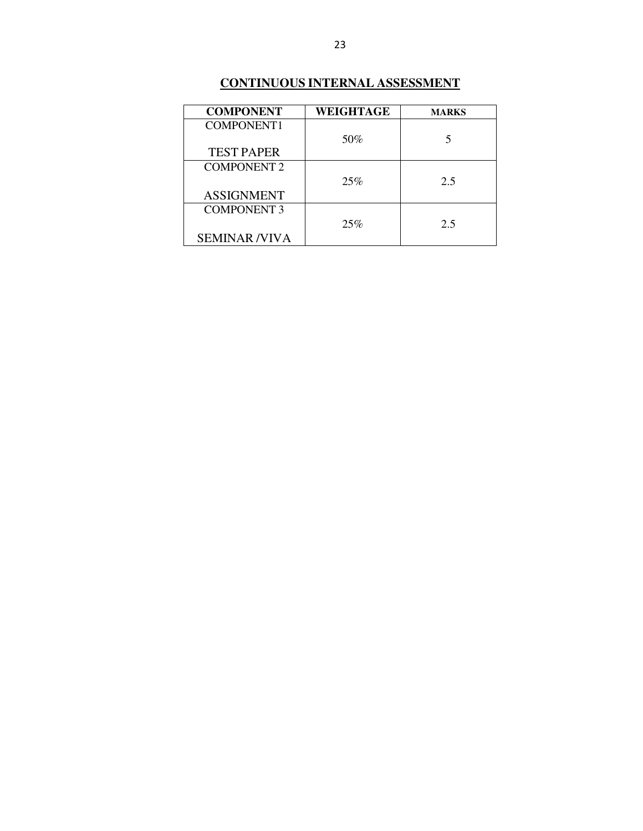| <b>COMPONENT</b>    | WEIGHTAGE | <b>MARKS</b> |
|---------------------|-----------|--------------|
| COMPONENT1          |           |              |
|                     | 50%       | 5            |
| <b>TEST PAPER</b>   |           |              |
| <b>COMPONENT 2</b>  |           |              |
|                     | 25%       | 2.5          |
| <b>ASSIGNMENT</b>   |           |              |
| <b>COMPONENT 3</b>  |           |              |
|                     | 25%       | 2.5          |
| <b>SEMINAR/VIVA</b> |           |              |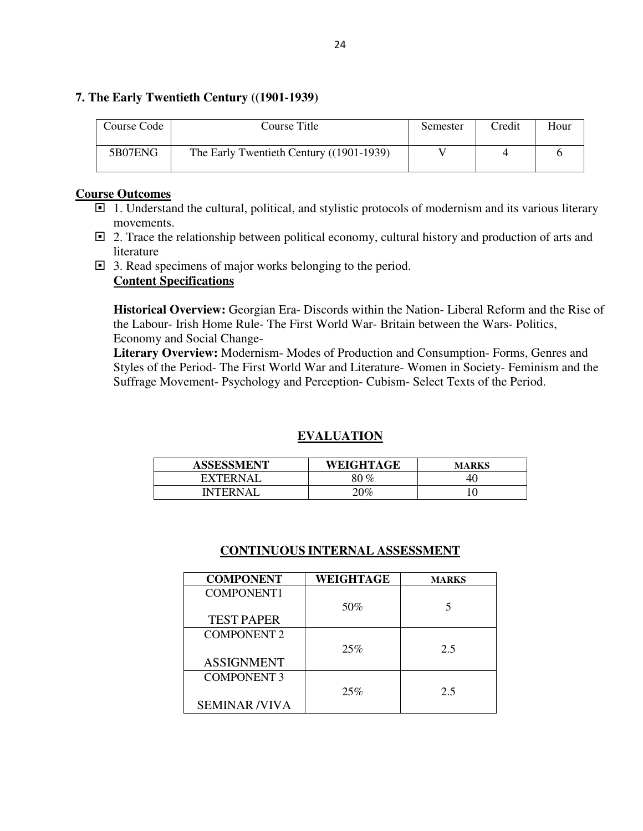### **7. The Early Twentieth Century ((1901-1939)**

| Course Code | Course Title                             | Semester | Credit | Hour |
|-------------|------------------------------------------|----------|--------|------|
| 5B07ENG     | The Early Twentieth Century ((1901-1939) |          |        |      |

#### **Course Outcomes**

- $\Box$  1. Understand the cultural, political, and stylistic protocols of modernism and its various literary movements.
- $\Box$  2. Trace the relationship between political economy, cultural history and production of arts and literature
- 3. Read specimens of major works belonging to the period. **Content Specifications**

**Historical Overview:** Georgian Era- Discords within the Nation- Liberal Reform and the Rise of the Labour- Irish Home Rule- The First World War- Britain between the Wars- Politics, Economy and Social Change-

**Literary Overview:** Modernism- Modes of Production and Consumption- Forms, Genres and Styles of the Period- The First World War and Literature- Women in Society- Feminism and the Suffrage Movement- Psychology and Perception- Cubism- Select Texts of the Period.

### **EVALUATION**

| <b>ASSESSMENT</b> | WEIGHTAGE | MARKS |
|-------------------|-----------|-------|
| <b>EXTERNAL</b>   | ገ $\%$    | 40.   |
| <b>INTERNAI</b>   | $0\%$     |       |

| <b>COMPONENT</b>    | WEIGHTAGE | <b>MARKS</b> |
|---------------------|-----------|--------------|
| COMPONENT1          |           |              |
|                     | 50%       | 5            |
| <b>TEST PAPER</b>   |           |              |
| <b>COMPONENT 2</b>  |           |              |
|                     | 25%       | 2.5          |
| <b>ASSIGNMENT</b>   |           |              |
| <b>COMPONENT 3</b>  |           |              |
|                     | 25%       | 2.5          |
| <b>SEMINAR/VIVA</b> |           |              |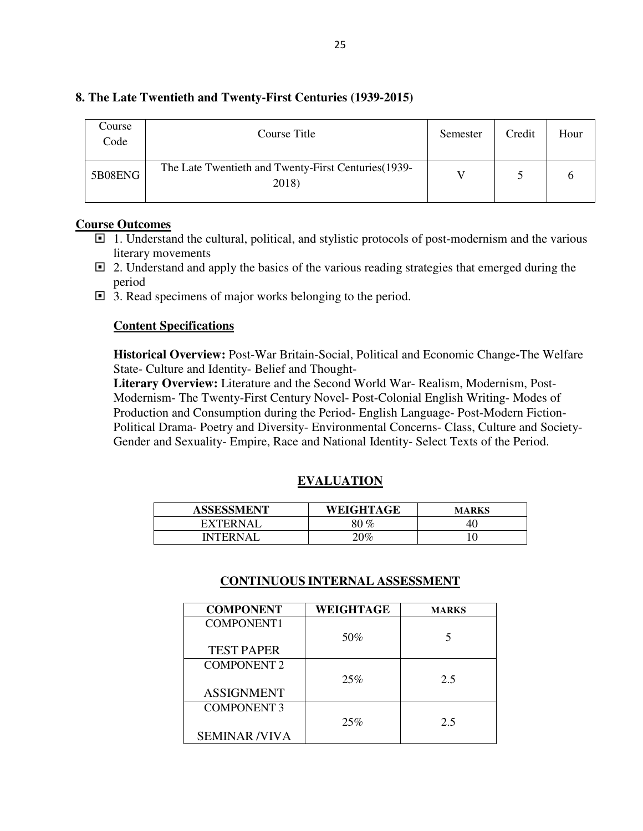| Course<br>Code | Course Title                                                  | Semester | Credit | Hour |
|----------------|---------------------------------------------------------------|----------|--------|------|
| 5B08ENG        | The Late Twentieth and Twenty-First Centuries (1939-<br>2018) |          |        |      |

### **8. The Late Twentieth and Twenty-First Centuries (1939-2015)**

### **Course Outcomes**

- $\Box$  1. Understand the cultural, political, and stylistic protocols of post-modernism and the various literary movements
- $\Box$  2. Understand and apply the basics of the various reading strategies that emerged during the period
- □ 3. Read specimens of major works belonging to the period.

#### **Content Specifications**

**Historical Overview:** Post-War Britain-Social, Political and Economic Change**-**The Welfare State- Culture and Identity- Belief and Thought-

**Literary Overview:** Literature and the Second World War- Realism, Modernism, Post-Modernism- The Twenty-First Century Novel- Post-Colonial English Writing- Modes of Production and Consumption during the Period- English Language- Post-Modern Fiction-Political Drama- Poetry and Diversity- Environmental Concerns- Class, Culture and Society-Gender and Sexuality- Empire, Race and National Identity- Select Texts of the Period.

### **EVALUATION**

| <b>ASSESSMENT</b> | WEIGHTAGE              | <b>MARKS</b> |
|-------------------|------------------------|--------------|
| EXTERNAI          | $\gamma_{\mathcal{O}}$ | -40.         |
| <b>INTERNAL</b>   | $0\%$                  |              |

| <b>COMPONENT</b>    | WEIGHTAGE | <b>MARKS</b> |
|---------------------|-----------|--------------|
| <b>COMPONENT1</b>   |           |              |
|                     | 50%       |              |
| <b>TEST PAPER</b>   |           |              |
| <b>COMPONENT 2</b>  |           |              |
|                     | 25%       | 2.5          |
| <b>ASSIGNMENT</b>   |           |              |
| <b>COMPONENT 3</b>  |           |              |
|                     | 25%       | 2.5          |
| <b>SEMINAR/VIVA</b> |           |              |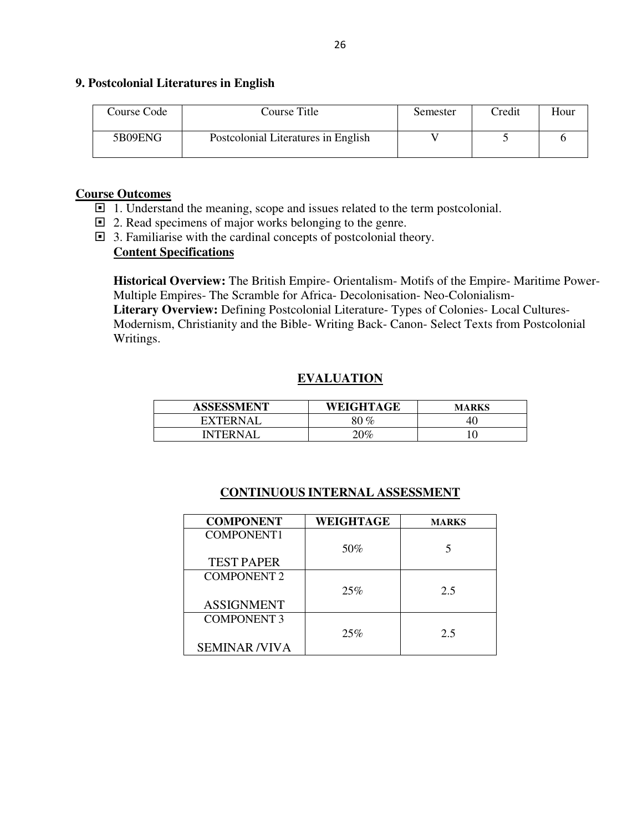#### **9. Postcolonial Literatures in English**

| Course Code | Course Title                        | Semester | <b>Tredit</b> | Hour |
|-------------|-------------------------------------|----------|---------------|------|
| 5B09ENG     | Postcolonial Literatures in English |          |               |      |

### **Course Outcomes**

- $\Box$  1. Understand the meaning, scope and issues related to the term postcolonial.
- □ 2. Read specimens of major works belonging to the genre.
- 3. Familiarise with the cardinal concepts of postcolonial theory.

### **Content Specifications**

**Historical Overview:** The British Empire- Orientalism- Motifs of the Empire- Maritime Power-Multiple Empires- The Scramble for Africa- Decolonisation- Neo-Colonialism-

**Literary Overview:** Defining Postcolonial Literature- Types of Colonies- Local Cultures-Modernism, Christianity and the Bible- Writing Back- Canon- Select Texts from Postcolonial Writings.

## **EVALUATION**

| <b>ASSESSMENT</b> | WEIGHTAGE | <b>MARKS</b> |
|-------------------|-----------|--------------|
| <b>EXTERNAL</b>   | 80 %      | -40          |
| INTERN A I        | $20\%$    |              |

| <b>COMPONENT</b>    | WEIGHTAGE | <b>MARKS</b> |
|---------------------|-----------|--------------|
| <b>COMPONENT1</b>   |           |              |
|                     | 50%       |              |
| <b>TEST PAPER</b>   |           |              |
| <b>COMPONENT 2</b>  |           |              |
|                     | 25%       | 2.5          |
| <b>ASSIGNMENT</b>   |           |              |
| <b>COMPONENT 3</b>  |           |              |
|                     | 25%       | 2.5          |
| <b>SEMINAR/VIVA</b> |           |              |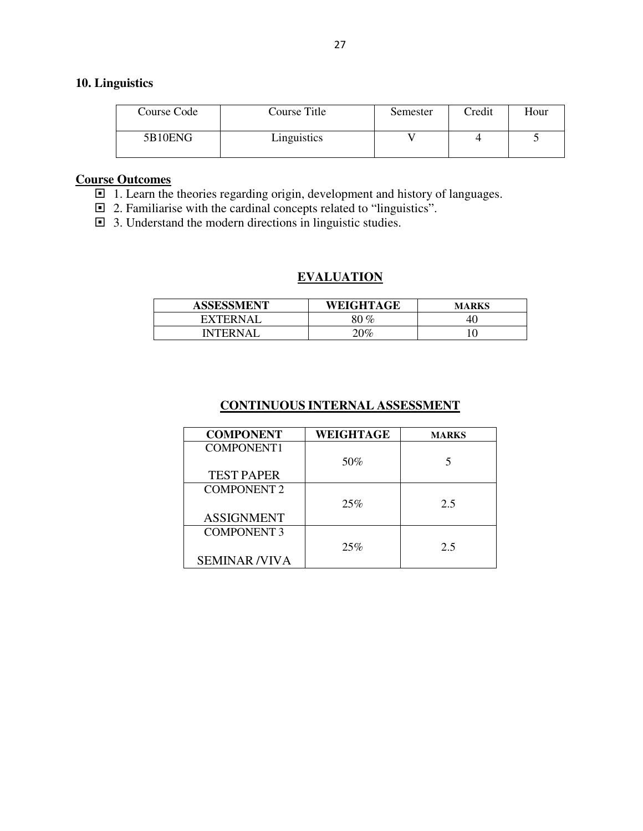### **10. Linguistics**

| Course Code | Course Title | Semester | Credit | Hour |
|-------------|--------------|----------|--------|------|
| 5B10ENG     | Linguistics  |          |        |      |

### **Course Outcomes**

- 1. Learn the theories regarding origin, development and history of languages.
- 2. Familiarise with the cardinal concepts related to "linguistics".
- $\Box$  3. Understand the modern directions in linguistic studies.

### **EVALUATION**

| <b>ASSESSMENT</b> | WEIGHTAGE | <b>MARKS</b> |
|-------------------|-----------|--------------|
| <b>FXTFRNAI</b>   | 80 %      | 40           |
| [NTERNAI          | $20\%$    |              |

| <b>COMPONENT</b>    | WEIGHTAGE | <b>MARKS</b> |
|---------------------|-----------|--------------|
| <b>COMPONENT1</b>   |           |              |
|                     | 50%       |              |
| <b>TEST PAPER</b>   |           |              |
| <b>COMPONENT 2</b>  |           |              |
|                     | 25%       | 2.5          |
| <b>ASSIGNMENT</b>   |           |              |
| <b>COMPONENT 3</b>  |           |              |
|                     | 25%       | 2.5          |
| <b>SEMINAR/VIVA</b> |           |              |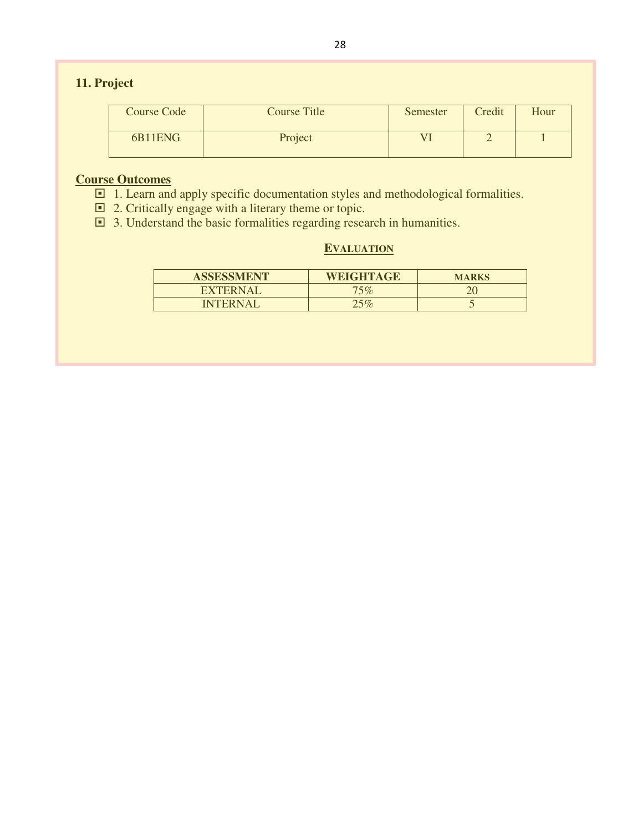# **11. Project**

| Course Code | Course Title | Semester | Credit | Hour |
|-------------|--------------|----------|--------|------|
| 6B11ENG     | Project      |          |        |      |

### **Course Outcomes**

- $\Box$  1. Learn and apply specific documentation styles and methodological formalities.
- □ 2. Critically engage with a literary theme or topic.
- $\Box$  3. Understand the basic formalities regarding research in humanities.

### **EVALUATION**

| <b>ASSESSMENT</b> | <b>WEIGHTAGE</b> | <b>MARKS</b> |
|-------------------|------------------|--------------|
| <b>EXTERNAI</b>   | 75%              |              |
| <b>INTERNAL</b>   | 25%              | - 1          |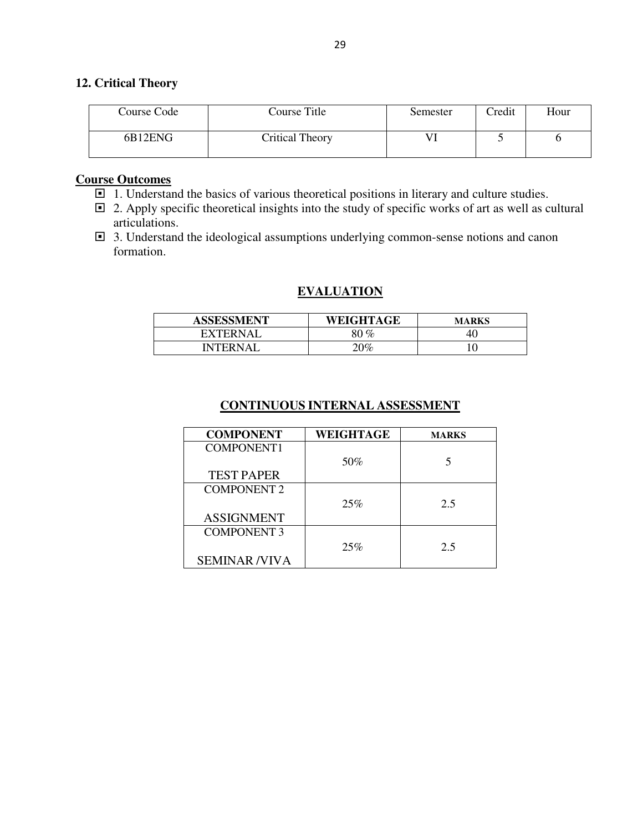### **12. Critical Theory**

| Course Code | Course Title    | Semester | Credit | Hour |
|-------------|-----------------|----------|--------|------|
| 6B12ENG     | Critical Theory |          |        |      |

### **Course Outcomes**

- $\Box$  1. Understand the basics of various theoretical positions in literary and culture studies.
- $\Box$  2. Apply specific theoretical insights into the study of specific works of art as well as cultural articulations.
- 3. Understand the ideological assumptions underlying common-sense notions and canon formation.

### **EVALUATION**

| <b>ASSESSMENT</b> | WEIGHTAGE | <b>MARKS</b> |
|-------------------|-----------|--------------|
| EXTERNAL          | 80 %      | 40           |
| <b>NTFRNAI</b>    | $0\%$     |              |

| <b>COMPONENT</b>    | WEIGHTAGE | <b>MARKS</b> |
|---------------------|-----------|--------------|
| <b>COMPONENT1</b>   |           |              |
|                     | 50%       |              |
| <b>TEST PAPER</b>   |           |              |
| <b>COMPONENT 2</b>  |           |              |
|                     | 25%       | 2.5          |
| <b>ASSIGNMENT</b>   |           |              |
| <b>COMPONENT 3</b>  |           |              |
|                     | 25%       | 2.5          |
| <b>SEMINAR/VIVA</b> |           |              |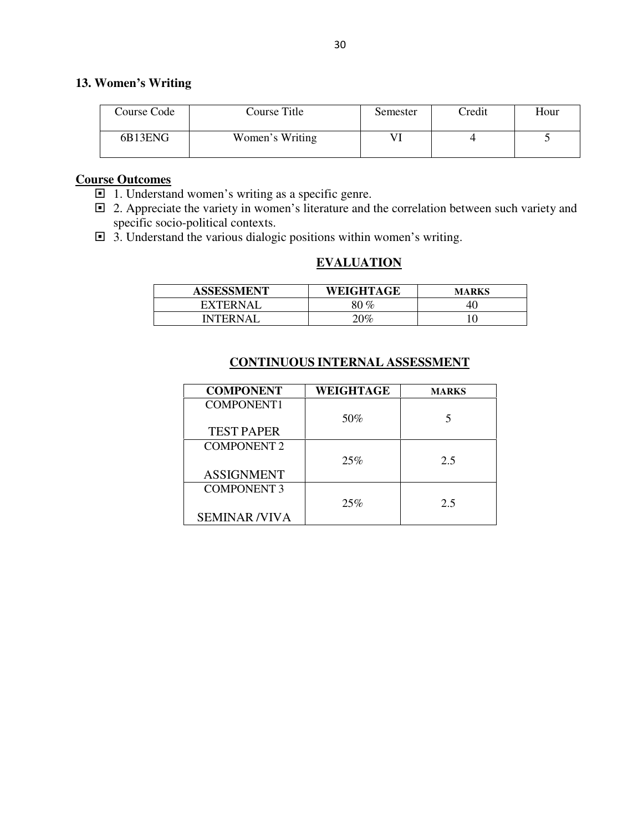### **13. Women's Writing**

| Course Code | Course Title    | Semester | Credit | Hour |
|-------------|-----------------|----------|--------|------|
| 6B13ENG     | Women's Writing |          |        |      |

### **Course Outcomes**

- 1. Understand women's writing as a specific genre.
- □ 2. Appreciate the variety in women's literature and the correlation between such variety and specific socio-political contexts.
- 3. Understand the various dialogic positions within women's writing.

### **EVALUATION**

| <b>ASSESSMENT</b> | WEIGHTAGE | <b>MARKS</b> |
|-------------------|-----------|--------------|
| <b>EXTERNAL</b>   | $0\%$     | 40.          |
| <b>INTERNAL</b>   | $20\%$    |              |

| <b>COMPONENT</b>    | <b>WEIGHTAGE</b> | <b>MARKS</b> |
|---------------------|------------------|--------------|
| <b>COMPONENT1</b>   |                  |              |
|                     | 50%              |              |
| <b>TEST PAPER</b>   |                  |              |
| <b>COMPONENT 2</b>  |                  |              |
|                     | 25%              | 2.5          |
| <b>ASSIGNMENT</b>   |                  |              |
| <b>COMPONENT 3</b>  |                  |              |
|                     | 25%              | 2.5          |
| <b>SEMINAR/VIVA</b> |                  |              |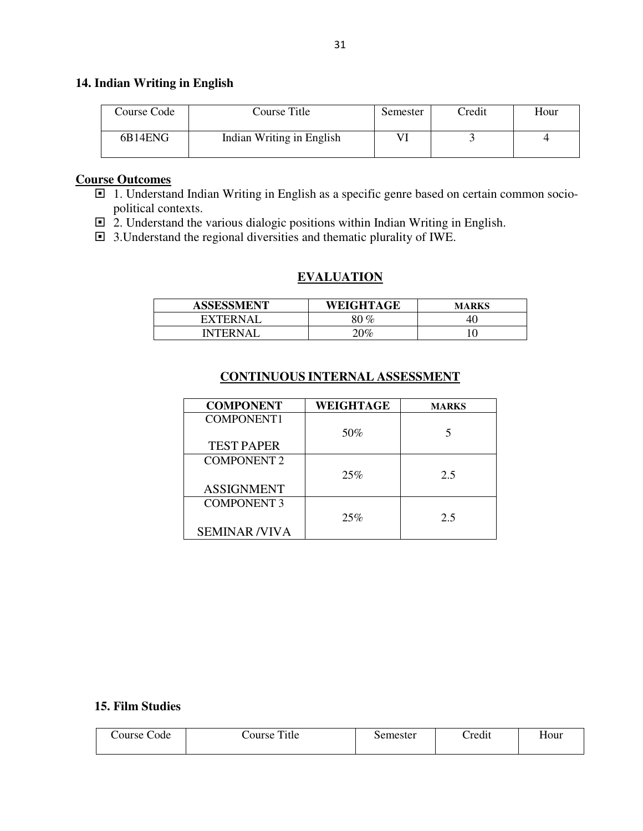### **14. Indian Writing in English**

| Course Code | Course Title              | Semester | Credit | Hour |
|-------------|---------------------------|----------|--------|------|
| 6B14ENG     | Indian Writing in English |          |        |      |

### **Course Outcomes**

- 1. Understand Indian Writing in English as a specific genre based on certain common sociopolitical contexts.
- □ 2. Understand the various dialogic positions within Indian Writing in English.
- 3.Understand the regional diversities and thematic plurality of IWE.

### **EVALUATION**

| <b>ASSESSMENT</b> | WEIGHTAGE | <b>MARKS</b> |
|-------------------|-----------|--------------|
| <b>FXTFRNAI</b>   | ) $\%$    |              |
| <b>INTERNAL</b>   | ነበ‰       |              |

### **CONTINUOUS INTERNAL ASSESSMENT**

| <b>COMPONENT</b>    | WEIGHTAGE | <b>MARKS</b> |
|---------------------|-----------|--------------|
| <b>COMPONENT1</b>   |           |              |
|                     | 50%       | 5            |
| <b>TEST PAPER</b>   |           |              |
| <b>COMPONENT 2</b>  |           |              |
|                     | 25%       | 2.5          |
| <b>ASSIGNMENT</b>   |           |              |
| <b>COMPONENT 3</b>  |           |              |
|                     | 25%       | 2.5          |
| <b>SEMINAR/VIVA</b> |           |              |

#### **15. Film Studies**

| ourse <sup>1</sup><br>Code | Title<br>Course | Semester | $\bullet$<br>Credit | Hour |
|----------------------------|-----------------|----------|---------------------|------|
|                            |                 |          |                     |      |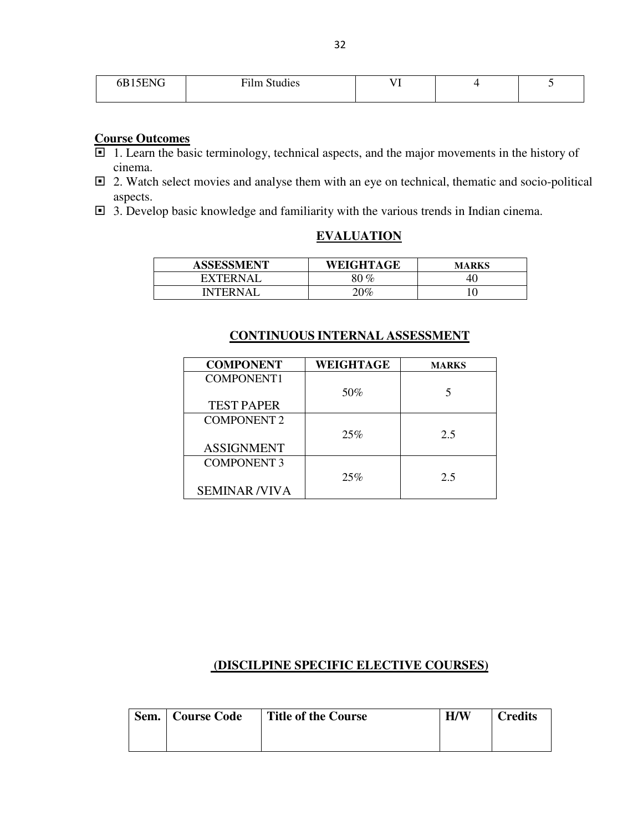| 15C <sub>2</sub><br>0D I J | $\cdot$<br>$\mathbf{r}$<br><b>Film Studies</b> | - |  |
|----------------------------|------------------------------------------------|---|--|
|                            |                                                |   |  |

### **Course Outcomes**

- □ 1. Learn the basic terminology, technical aspects, and the major movements in the history of cinema.
- □ 2. Watch select movies and analyse them with an eye on technical, thematic and socio-political aspects.
- 3. Develop basic knowledge and familiarity with the various trends in Indian cinema.

| <b>ASSESSMENT</b> | WEIGHTAGE | <b>MARKS</b> |
|-------------------|-----------|--------------|
| EXTERNAL          | 80 %      | 40           |
| <b>INTERNAI</b>   | '0%       |              |

### **CONTINUOUS INTERNAL ASSESSMENT**

| <b>COMPONENT</b>    | WEIGHTAGE | <b>MARKS</b> |
|---------------------|-----------|--------------|
| COMPONENT1          |           |              |
|                     | 50%       |              |
| <b>TEST PAPER</b>   |           |              |
| <b>COMPONENT 2</b>  |           |              |
|                     | 25%       | 2.5          |
| <b>ASSIGNMENT</b>   |           |              |
| <b>COMPONENT 3</b>  |           |              |
|                     | 25%       | 2.5          |
| <b>SEMINAR/VIVA</b> |           |              |

# **(DISCILPINE SPECIFIC ELECTIVE COURSES)**

| Sem.   Course Code | <b>Title of the Course</b> | H/W | <b>Credits</b> |
|--------------------|----------------------------|-----|----------------|
|                    |                            |     |                |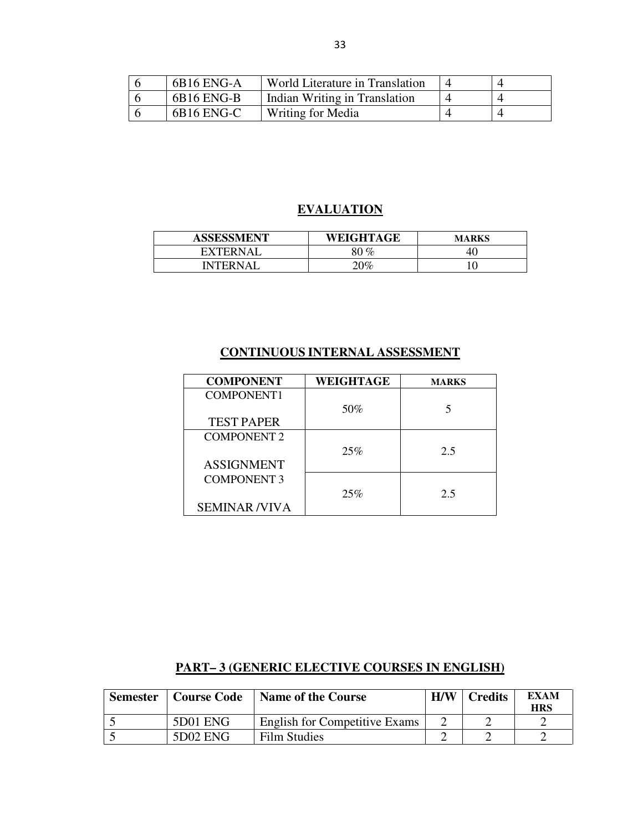| 6B16 ENG-A | World Literature in Translation |  |
|------------|---------------------------------|--|
| 6B16 ENG-B | Indian Writing in Translation   |  |
| 6B16 ENG-C | Writing for Media               |  |

# **EVALUATION**

| <b>ASSESSMENT</b>                           | <b>WEIGHTAGE</b> | <b>MARKS</b> |
|---------------------------------------------|------------------|--------------|
| <b>XTFRNAI</b><br>$\mathbf{F} \mathbf{Y}^r$ | $80\,\%$         | 4U           |
| NTEDNA <sup>.</sup>                         | $0\%$            | ν            |

### **CONTINUOUS INTERNAL ASSESSMENT**

| <b>COMPONENT</b>    | WEIGHTAGE | <b>MARKS</b> |
|---------------------|-----------|--------------|
| COMPONENT1          |           |              |
|                     | 50%       |              |
| <b>TEST PAPER</b>   |           |              |
| <b>COMPONENT 2</b>  |           |              |
|                     | 25%       | 2.5          |
| <b>ASSIGNMENT</b>   |           |              |
| <b>COMPONENT 3</b>  |           |              |
|                     | 25%       | 2.5          |
| <b>SEMINAR/VIVA</b> |           |              |

# **PART– 3 (GENERIC ELECTIVE COURSES IN ENGLISH)**

| <b>Semester</b> | <b>Course Code</b> | <b>Name of the Course</b>            | H/W | <b>Credits</b> | <b>EXAM</b><br>HRS |
|-----------------|--------------------|--------------------------------------|-----|----------------|--------------------|
|                 | 5D01 ENG           | <b>English for Competitive Exams</b> |     |                |                    |
|                 | 5D02 ENG           | <b>Film Studies</b>                  |     |                |                    |